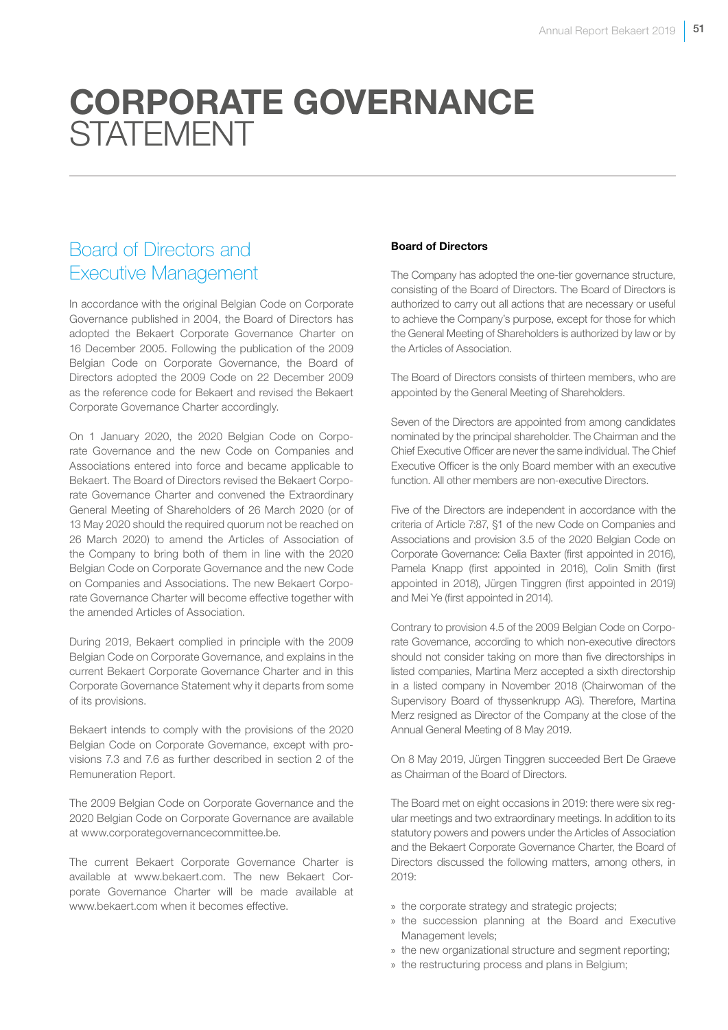# CORPORATE GOVERNANCE **STATEMENT**

# Board of Directors and Executive Management

In accordance with the original Belgian Code on Corporate Governance published in 2004, the Board of Directors has adopted the Bekaert Corporate Governance Charter on 16 December 2005. Following the publication of the 2009 Belgian Code on Corporate Governance, the Board of Directors adopted the 2009 Code on 22 December 2009 as the reference code for Bekaert and revised the Bekaert Corporate Governance Charter accordingly.

On 1 January 2020, the 2020 Belgian Code on Corporate Governance and the new Code on Companies and Associations entered into force and became applicable to Bekaert. The Board of Directors revised the Bekaert Corporate Governance Charter and convened the Extraordinary General Meeting of Shareholders of 26 March 2020 (or of 13 May 2020 should the required quorum not be reached on 26 March 2020) to amend the Articles of Association of the Company to bring both of them in line with the 2020 Belgian Code on Corporate Governance and the new Code on Companies and Associations. The new Bekaert Corporate Governance Charter will become effective together with the amended Articles of Association.

During 2019, Bekaert complied in principle with the 2009 Belgian Code on Corporate Governance, and explains in the current Bekaert Corporate Governance Charter and in this Corporate Governance Statement why it departs from some of its provisions.

Bekaert intends to comply with the provisions of the 2020 Belgian Code on Corporate Governance, except with provisions 7.3 and 7.6 as further described in section 2 of the Remuneration Report.

The 2009 Belgian Code on Corporate Governance and the 2020 Belgian Code on Corporate Governance are available at www.corporategovernancecommittee.be.

The current Bekaert Corporate Governance Charter is available at www.bekaert.com. The new Bekaert Corporate Governance Charter will be made available at www.bekaert.com when it becomes effective.

# Board of Directors

The Company has adopted the one-tier governance structure, consisting of the Board of Directors. The Board of Directors is authorized to carry out all actions that are necessary or useful to achieve the Company's purpose, except for those for which the General Meeting of Shareholders is authorized by law or by the Articles of Association.

The Board of Directors consists of thirteen members, who are appointed by the General Meeting of Shareholders.

Seven of the Directors are appointed from among candidates nominated by the principal shareholder. The Chairman and the Chief Executive Officer are never the same individual. The Chief Executive Officer is the only Board member with an executive function. All other members are non-executive Directors.

Five of the Directors are independent in accordance with the criteria of Article 7:87, §1 of the new Code on Companies and Associations and provision 3.5 of the 2020 Belgian Code on Corporate Governance: Celia Baxter (first appointed in 2016), Pamela Knapp (first appointed in 2016), Colin Smith (first appointed in 2018), Jürgen Tinggren (first appointed in 2019) and Mei Ye (first appointed in 2014).

Contrary to provision 4.5 of the 2009 Belgian Code on Corporate Governance, according to which non-executive directors should not consider taking on more than five directorships in listed companies, Martina Merz accepted a sixth directorship in a listed company in November 2018 (Chairwoman of the Supervisory Board of thyssenkrupp AG). Therefore, Martina Merz resigned as Director of the Company at the close of the Annual General Meeting of 8 May 2019.

On 8 May 2019, Jürgen Tinggren succeeded Bert De Graeve as Chairman of the Board of Directors.

The Board met on eight occasions in 2019: there were six regular meetings and two extraordinary meetings. In addition to its statutory powers and powers under the Articles of Association and the Bekaert Corporate Governance Charter, the Board of Directors discussed the following matters, among others, in 2019:

- » the corporate strategy and strategic projects;
- » the succession planning at the Board and Executive Management levels;
- » the new organizational structure and segment reporting;
- » the restructuring process and plans in Belgium;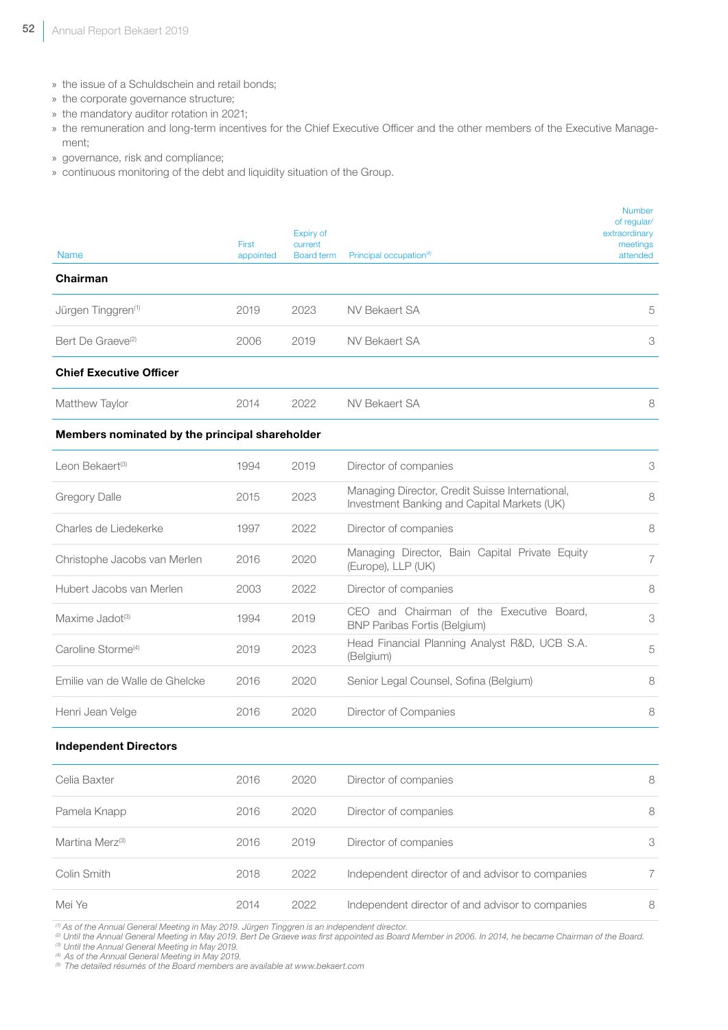- » the issue of a Schuldschein and retail bonds;
- » the corporate governance structure;
- » the mandatory auditor rotation in 2021;
- » the remuneration and long-term incentives for the Chief Executive Officer and the other members of the Executive Management;
- » governance, risk and compliance;
- » continuous monitoring of the debt and liquidity situation of the Group.

| Name                                           | First<br>appointed | Expiry of<br>current<br><b>Board term</b> | Principal occupation <sup>(4)</sup>                                                            | <b>Number</b><br>of regular/<br>extraordinary<br>meetings<br>attended |
|------------------------------------------------|--------------------|-------------------------------------------|------------------------------------------------------------------------------------------------|-----------------------------------------------------------------------|
| Chairman                                       |                    |                                           |                                                                                                |                                                                       |
| Jürgen Tinggren <sup>(1)</sup>                 | 2019               | 2023                                      | <b>NV Bekaert SA</b>                                                                           | 5                                                                     |
| Bert De Graeve <sup>(2)</sup>                  | 2006               | 2019                                      | NV Bekaert SA                                                                                  | 3                                                                     |
| <b>Chief Executive Officer</b>                 |                    |                                           |                                                                                                |                                                                       |
| Matthew Taylor                                 | 2014               | 2022                                      | <b>NV Bekaert SA</b>                                                                           | 8                                                                     |
| Members nominated by the principal shareholder |                    |                                           |                                                                                                |                                                                       |
| Leon Bekaert <sup>(3)</sup>                    | 1994               | 2019                                      | Director of companies                                                                          | 3                                                                     |
| <b>Gregory Dalle</b>                           | 2015               | 2023                                      | Managing Director, Credit Suisse International,<br>Investment Banking and Capital Markets (UK) | 8                                                                     |
| Charles de Liedekerke                          | 1997               | 2022                                      | Director of companies                                                                          | 8                                                                     |
| Christophe Jacobs van Merlen                   | 2016               | 2020                                      | Managing Director, Bain Capital Private Equity<br>(Europe), LLP (UK)                           | 7                                                                     |

Hubert Jacobs van Merlen 2003 2022 Director of companies 8

Caroline Storme(4) <sup>2019</sup> <sup>2023</sup> Head Financial Planning Analyst R&D, UCB S.A. (Belgium) <sup>5</sup>

Emilie van de Walle de Ghelcke 2016 2020 Senior Legal Counsel, Sofina (Belgium) 8

Henri Jean Velge **2016** 2020 Director of Companies **8** 

BNP Paribas Fortis (Belgium) 3

Maxime Jadot<sup>(3)</sup> 1994 2019 CEO and Chairman of the Executive Board,

#### Independent Directors

| Celia Baxter                | 2016 | 2020 | Director of companies                            | 8  |
|-----------------------------|------|------|--------------------------------------------------|----|
| Pamela Knapp                | 2016 | 2020 | Director of companies                            | 8  |
| Martina Merz <sup>(3)</sup> | 2016 | 2019 | Director of companies                            | 3  |
| Colin Smith                 | 2018 | 2022 | Independent director of and advisor to companies | 7. |
| Mei Ye                      | 2014 | 2022 | Independent director of and advisor to companies | 8  |

*(1) As of the Annual General Meeting in May 2019. Jürgen Tinggren is an independent director.*

*(2) Until the Annual General Meeting in May 2019. Bert De Graeve was first appointed as Board Member in 2006. In 2014, he became Chairman of the Board. (3) Until the Annual General Meeting in May 2019.*

*(4) As of the Annual General Meeting in May 2019.*

*(5) The detailed résumés of the Board members are available at www.bekaert.com*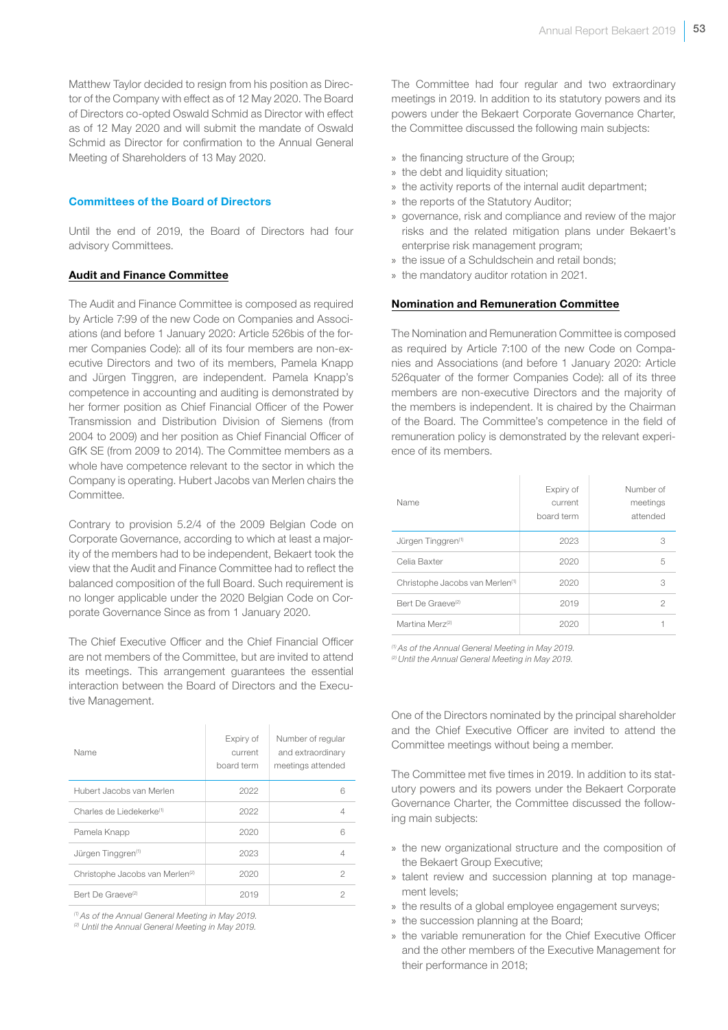Matthew Taylor decided to resign from his position as Director of the Company with effect as of 12 May 2020. The Board of Directors co-opted Oswald Schmid as Director with effect as of 12 May 2020 and will submit the mandate of Oswald Schmid as Director for confirmation to the Annual General Meeting of Shareholders of 13 May 2020.

#### Committees of the Board of Directors

Until the end of 2019, the Board of Directors had four advisory Committees.

#### Audit and Finance Committee

The Audit and Finance Committee is composed as required by Article 7:99 of the new Code on Companies and Associations (and before 1 January 2020: Article 526bis of the former Companies Code): all of its four members are non-executive Directors and two of its members, Pamela Knapp and Jürgen Tinggren, are independent. Pamela Knapp's competence in accounting and auditing is demonstrated by her former position as Chief Financial Officer of the Power Transmission and Distribution Division of Siemens (from 2004 to 2009) and her position as Chief Financial Officer of GfK SE (from 2009 to 2014). The Committee members as a whole have competence relevant to the sector in which the Company is operating. Hubert Jacobs van Merlen chairs the Committee.

Contrary to provision 5.2/4 of the 2009 Belgian Code on Corporate Governance, according to which at least a majority of the members had to be independent, Bekaert took the view that the Audit and Finance Committee had to reflect the balanced composition of the full Board. Such requirement is no longer applicable under the 2020 Belgian Code on Corporate Governance Since as from 1 January 2020.

The Chief Executive Officer and the Chief Financial Officer are not members of the Committee, but are invited to attend its meetings. This arrangement guarantees the essential interaction between the Board of Directors and the Executive Management.

| Name                                        | Expiry of<br>current<br>board term | Number of regular<br>and extraordinary<br>meetings attended |
|---------------------------------------------|------------------------------------|-------------------------------------------------------------|
| Hubert Jacobs van Merlen                    | 2022                               | 6                                                           |
| Charles de Liedekerke <sup>(1)</sup>        | 2022                               | 4                                                           |
| Pamela Knapp                                | 2020                               | 6                                                           |
| Jürgen Tinggren <sup>(1)</sup>              | 2023                               | 4                                                           |
| Christophe Jacobs van Merlen <sup>(2)</sup> | 2020                               | 2                                                           |
| Bert De Graeve <sup>(2)</sup>               | 2019                               | 2                                                           |

*(1) As of the Annual General Meeting in May 2019.*

*(2) Until the Annual General Meeting in May 2019.*

The Committee had four regular and two extraordinary meetings in 2019. In addition to its statutory powers and its powers under the Bekaert Corporate Governance Charter, the Committee discussed the following main subjects:

- » the financing structure of the Group;
- » the debt and liquidity situation:
- » the activity reports of the internal audit department;
- » the reports of the Statutory Auditor;
- » governance, risk and compliance and review of the major risks and the related mitigation plans under Bekaert's enterprise risk management program;
- » the issue of a Schuldschein and retail bonds;
- » the mandatory auditor rotation in 2021.

#### Nomination and Remuneration Committee

The Nomination and Remuneration Committee is composed as required by Article 7:100 of the new Code on Companies and Associations (and before 1 January 2020: Article 526quater of the former Companies Code): all of its three members are non-executive Directors and the majority of the members is independent. It is chaired by the Chairman of the Board. The Committee's competence in the field of remuneration policy is demonstrated by the relevant experience of its members.

| Name                                        | Expiry of<br>current<br>board term | Number of<br>meetings<br>attended |
|---------------------------------------------|------------------------------------|-----------------------------------|
| Jürgen Tinggren <sup>(1)</sup>              | 2023                               | 3                                 |
| Celia Baxter                                | 2020                               | 5                                 |
| Christophe Jacobs van Merlen <sup>(1)</sup> | 2020                               | 3                                 |
| Bert De Graeve <sup>(2)</sup>               | 2019                               | 2                                 |
| Martina Merz <sup>(2)</sup>                 | 2020                               |                                   |

*(1) As of the Annual General Meeting in May 2019.*

*(2) Until the Annual General Meeting in May 2019.*

One of the Directors nominated by the principal shareholder and the Chief Executive Officer are invited to attend the Committee meetings without being a member.

The Committee met five times in 2019. In addition to its statutory powers and its powers under the Bekaert Corporate Governance Charter, the Committee discussed the following main subjects:

- » the new organizational structure and the composition of the Bekaert Group Executive;
- » talent review and succession planning at top management levels;
- » the results of a global employee engagement surveys;
- » the succession planning at the Board;
- » the variable remuneration for the Chief Executive Officer and the other members of the Executive Management for their performance in 2018;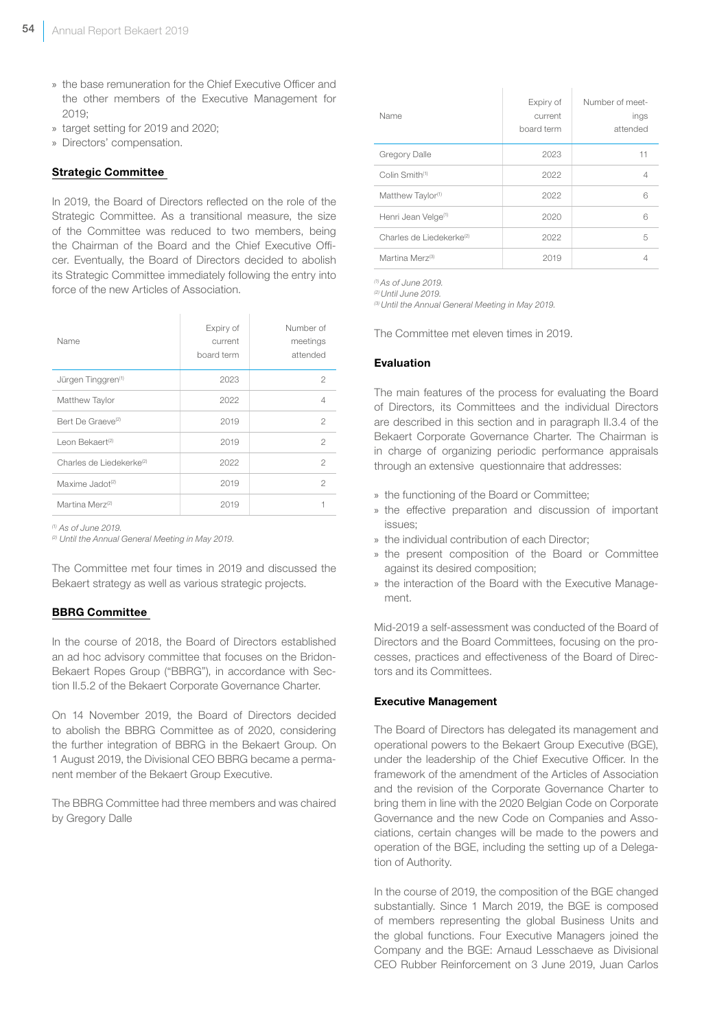- » the base remuneration for the Chief Executive Officer and the other members of the Executive Management for 2019;
- » target setting for 2019 and 2020;
- » Directors' compensation.

#### Strategic Committee

In 2019, the Board of Directors reflected on the role of the Strategic Committee. As a transitional measure, the size of the Committee was reduced to two members, being the Chairman of the Board and the Chief Executive Officer. Eventually, the Board of Directors decided to abolish its Strategic Committee immediately following the entry into force of the new Articles of Association.

| Name                                 | Expiry of<br>current<br>board term | Number of<br>meetings<br>attended |
|--------------------------------------|------------------------------------|-----------------------------------|
| Jürgen Tinggren <sup>(1)</sup>       | 2023                               | 2                                 |
| Matthew Taylor                       | 2022                               | 4                                 |
| Bert De Graeve <sup>(2)</sup>        | 2019                               | $\mathfrak{D}$                    |
| Leon Bekaert <sup>(2)</sup>          | 2019                               | $\mathfrak{D}$                    |
| Charles de Liedekerke <sup>(2)</sup> | 2022                               | $\mathfrak{D}$                    |
| Maxime Jadot <sup>(2)</sup>          | 2019                               | 2                                 |
| Martina Merz <sup>(2)</sup>          | 2019                               |                                   |

*(1) As of June 2019.*

*(2) Until the Annual General Meeting in May 2019.*

The Committee met four times in 2019 and discussed the Bekaert strategy as well as various strategic projects.

# BBRG Committee

In the course of 2018, the Board of Directors established an ad hoc advisory committee that focuses on the Bridon-Bekaert Ropes Group ("BBRG"), in accordance with Section II.5.2 of the Bekaert Corporate Governance Charter.

On 14 November 2019, the Board of Directors decided to abolish the BBRG Committee as of 2020, considering the further integration of BBRG in the Bekaert Group. On 1 August 2019, the Divisional CEO BBRG became a permanent member of the Bekaert Group Executive.

The BBRG Committee had three members and was chaired by Gregory Dalle

| Name                                 | Expiry of<br>current<br>board term | Number of meet-<br>ings<br>attended |
|--------------------------------------|------------------------------------|-------------------------------------|
| <b>Gregory Dalle</b>                 | 2023                               | 11                                  |
| Colin Smith <sup>(1)</sup>           | 2022                               | 4                                   |
| Matthew Taylor <sup>(1)</sup>        | 2022                               | 6                                   |
| Henri Jean Velge <sup>(1)</sup>      | 2020                               | 6                                   |
| Charles de Liedekerke <sup>(2)</sup> | 2022                               | 5                                   |
| Martina Merz <sup>(3)</sup>          | 2019                               |                                     |

*(1) As of June 2019.*

*(2) Until June 2019.*

*(3) Until the Annual General Meeting in May 2019.*

The Committee met eleven times in 2019.

#### Evaluation

The main features of the process for evaluating the Board of Directors, its Committees and the individual Directors are described in this section and in paragraph II.3.4 of the Bekaert Corporate Governance Charter. The Chairman is in charge of organizing periodic performance appraisals through an extensive questionnaire that addresses:

- » the functioning of the Board or Committee;
- » the effective preparation and discussion of important issues;
- » the individual contribution of each Director;
- » the present composition of the Board or Committee against its desired composition;
- » the interaction of the Board with the Executive Management.

Mid-2019 a self-assessment was conducted of the Board of Directors and the Board Committees, focusing on the processes, practices and effectiveness of the Board of Directors and its Committees.

#### Executive Management

The Board of Directors has delegated its management and operational powers to the Bekaert Group Executive (BGE), under the leadership of the Chief Executive Officer. In the framework of the amendment of the Articles of Association and the revision of the Corporate Governance Charter to bring them in line with the 2020 Belgian Code on Corporate Governance and the new Code on Companies and Associations, certain changes will be made to the powers and operation of the BGE, including the setting up of a Delegation of Authority.

In the course of 2019, the composition of the BGE changed substantially. Since 1 March 2019, the BGE is composed of members representing the global Business Units and the global functions. Four Executive Managers joined the Company and the BGE: Arnaud Lesschaeve as Divisional CEO Rubber Reinforcement on 3 June 2019, Juan Carlos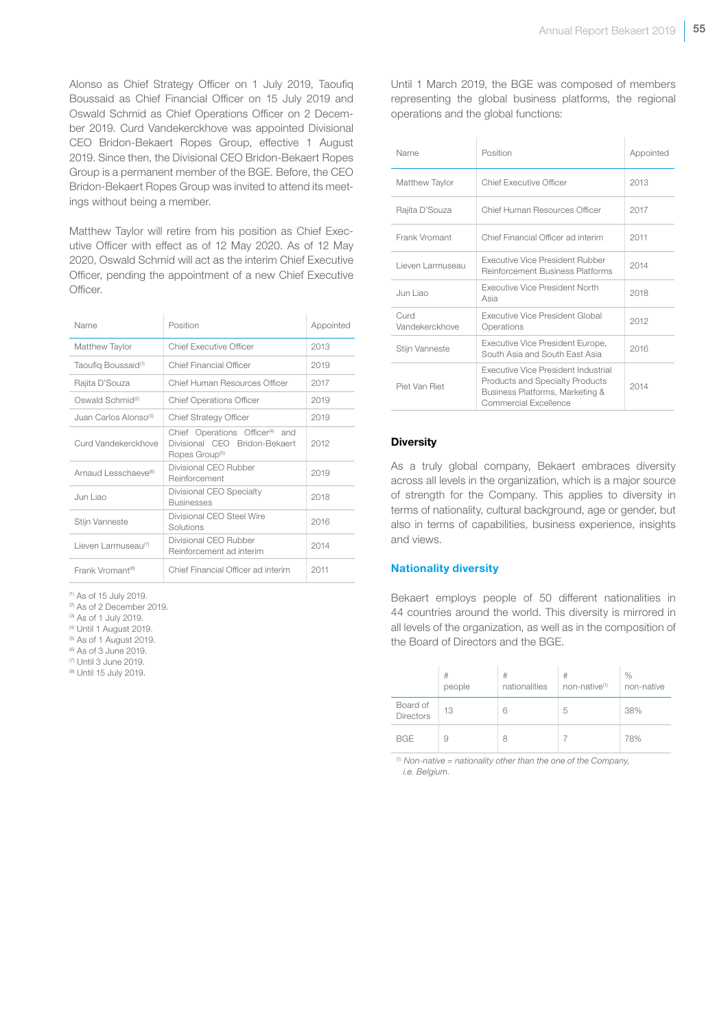Alonso as Chief Strategy Officer on 1 July 2019, Taoufiq Boussaid as Chief Financial Officer on 15 July 2019 and Oswald Schmid as Chief Operations Officer on 2 December 2019. Curd Vandekerckhove was appointed Divisional CEO Bridon-Bekaert Ropes Group, effective 1 August 2019. Since then, the Divisional CEO Bridon-Bekaert Ropes Group is a permanent member of the BGE. Before, the CEO Bridon-Bekaert Ropes Group was invited to attend its meetings without being a member.

Matthew Taylor will retire from his position as Chief Executive Officer with effect as of 12 May 2020. As of 12 May 2020, Oswald Schmid will act as the interim Chief Executive Officer, pending the appointment of a new Chief Executive Officer.

| Name                             | Position                                                                                                   | Appointed |
|----------------------------------|------------------------------------------------------------------------------------------------------------|-----------|
| Matthew Taylor                   | Chief Executive Officer                                                                                    | 2013      |
| Taoufig Boussaid <sup>(1)</sup>  | Chief Financial Officer                                                                                    | 2019      |
| Rajita D'Souza                   | Chief Human Resources Officer                                                                              | 2017      |
| Oswald Schmid <sup>(2)</sup>     | <b>Chief Operations Officer</b>                                                                            | 2019      |
| Juan Carlos Alonso®              | <b>Chief Strategy Officer</b>                                                                              | 2019      |
| Curd Vandekerckhove              | Chief Operations Officer <sup>(4)</sup> and<br>Divisional CEO Bridon-Bekaert<br>Ropes Group <sup>(5)</sup> | 2012      |
| Arnaud Lesschaeve <sup>(6)</sup> | Divisional CEO Rubber<br>Reinforcement                                                                     | 2019      |
| Jun Liao                         | Divisional CEO Specialty<br><b>Businesses</b>                                                              | 2018      |
| Stijn Vanneste                   | Divisional CEO Steel Wire<br>Solutions                                                                     | 2016      |
| Lieven Larmuseau <sup>(7)</sup>  | Divisional CEO Rubber<br>Reinforcement ad interim                                                          | 2014      |
| Frank Vromant <sup>(8)</sup>     | Chief Financial Officer ad interim                                                                         | 2011      |

(1) As of 15 July 2019.

<sup>(2)</sup> As of 2 December 2019.

(3) As of 1 July 2019.

(4) Until 1 August 2019.

- (5) As of 1 August 2019.
- (6) As of 3 June 2019.
- (7) Until 3 June 2019. (8) Until 15 July 2019.

representing the global business platforms, the regional operations and the global functions:

Until 1 March 2019, the BGE was composed of members

| Name                   | Position                                                                                                                                  | Appointed |
|------------------------|-------------------------------------------------------------------------------------------------------------------------------------------|-----------|
| Matthew Taylor         | <b>Chief Executive Officer</b>                                                                                                            | 2013      |
| Rajita D'Souza         | Chief Human Resources Officer                                                                                                             | 2017      |
| Frank Vromant          | Chief Financial Officer ad interim                                                                                                        | 2011      |
| Lieven Larmuseau       | Executive Vice President Rubber<br><b>Reinforcement Business Platforms</b>                                                                | 2014      |
| Jun Liao               | <b>Executive Vice President North</b><br>Asia                                                                                             | 2018      |
| Curd<br>Vandekerckhove | <b>Executive Vice President Global</b><br>Operations                                                                                      | 2012      |
| Stijn Vanneste         | Executive Vice President Europe,<br>South Asia and South East Asia                                                                        | 2016      |
| Piet Van Riet          | Executive Vice President Industrial<br><b>Products and Specialty Products</b><br>Business Platforms, Marketing &<br>Commercial Excellence | 2014      |

#### **Diversity**

As a truly global company, Bekaert embraces diversity across all levels in the organization, which is a major source of strength for the Company. This applies to diversity in terms of nationality, cultural background, age or gender, but also in terms of capabilities, business experience, insights and views.

#### Nationality diversity

Bekaert employs people of 50 different nationalities in 44 countries around the world. This diversity is mirrored in all levels of the organization, as well as in the composition of the Board of Directors and the BGE.

|                       | #<br>people | #<br>nationalities | #<br>non-native <sup>(1)</sup> | $\%$<br>non-native |
|-----------------------|-------------|--------------------|--------------------------------|--------------------|
| Board of<br>Directors | 13          | 6                  | 5                              | 38%                |
| <b>BGE</b>            | 9           | 8                  |                                | 78%                |

*(1) Non-native = nationality other than the one of the Company, i.e. Belgium.*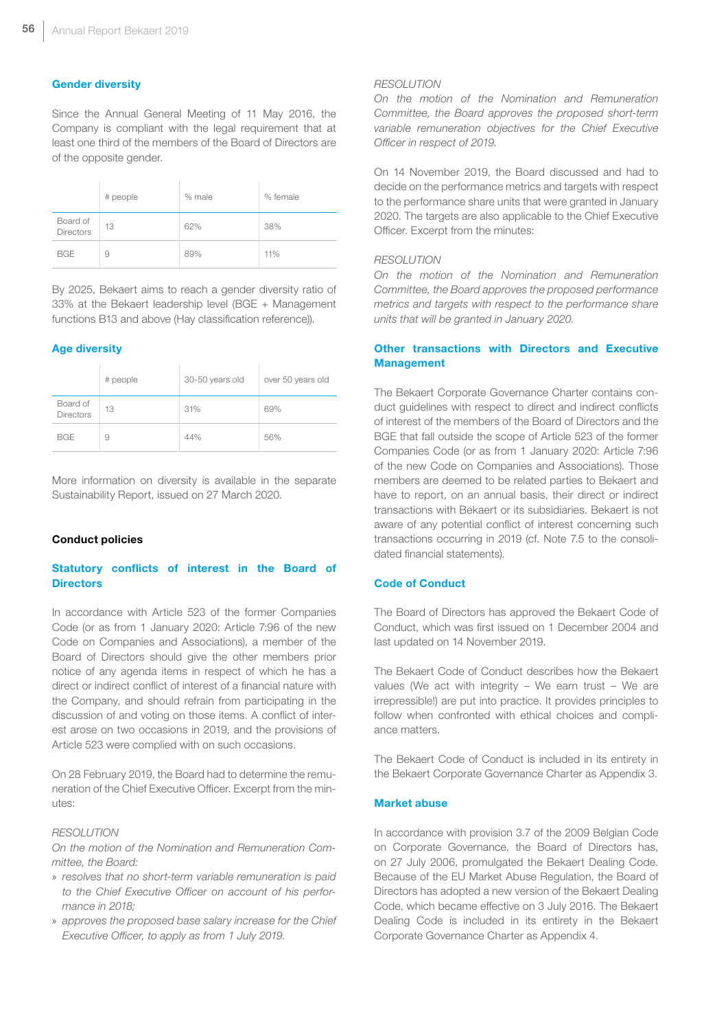### Gender diversity

Since the Annual General Meeting of 11 May 2016, the Company is compliant with the legal requirement that at least one third of the members of the Board of Directors are of the opposite gender.

|                       | # people | % male | % female |
|-----------------------|----------|--------|----------|
| Board of<br>Directors | 13       | 62%    | 38%      |
| <b>BGE</b>            | 9        | 89%    | 11%      |

By 2025, Bekaert aims to reach a gender diversity ratio of 33% at the Bekaert leadership level (BGE + Management functions B13 and above (Hay classification reference)).

#### Age diversity

|                       | # people | 30-50 years old | over 50 years old |
|-----------------------|----------|-----------------|-------------------|
| Board of<br>Directors | 13       | 31%             | 69%               |
| <b>BGE</b>            | 9        | 44%             | 56%               |

More information on diversity is available in the separate Sustainability Report, issued on 27 March 2020.

#### Conduct policies

# Statutory conflicts of interest in the Board of **Directors**

In accordance with Article 523 of the former Companies Code (or as from 1 January 2020: Article 7:96 of the new Code on Companies and Associations), a member of the Board of Directors should give the other members prior notice of any agenda items in respect of which he has a direct or indirect conflict of interest of a financial nature with the Company, and should refrain from participating in the discussion of and voting on those items. A conflict of interest arose on two occasions in 2019, and the provisions of Article 523 were complied with on such occasions.

On 28 February 2019, the Board had to determine the remuneration of the Chief Executive Officer. Excerpt from the minutes:

#### *RESOLUTION*

*On the motion of the Nomination and Remuneration Committee, the Board:* 

- » *resolves that no short-term variable remuneration is paid to the Chief Executive Officer on account of his performance in 2018;*
- » *approves the proposed base salary increase for the Chief Executive Officer, to apply as from 1 July 2019.*

#### *RESOLUTION*

*On the motion of the Nomination and Remuneration Committee, the Board approves the proposed short-term variable remuneration objectives for the Chief Executive Officer in respect of 2019.*

On 14 November 2019, the Board discussed and had to decide on the performance metrics and targets with respect to the performance share units that were granted in January 2020. The targets are also applicable to the Chief Executive Officer. Excerpt from the minutes:

#### *RESOLUTION*

*On the motion of the Nomination and Remuneration Committee, the Board approves the proposed performance metrics and targets with respect to the performance share units that will be granted in January 2020.*

# Other transactions with Directors and Executive Management

The Bekaert Corporate Governance Charter contains conduct guidelines with respect to direct and indirect conflicts of interest of the members of the Board of Directors and the BGE that fall outside the scope of Article 523 of the former Companies Code (or as from 1 January 2020: Article 7:96 of the new Code on Companies and Associations). Those members are deemed to be related parties to Bekaert and have to report, on an annual basis, their direct or indirect transactions with Bekaert or its subsidiaries. Bekaert is not aware of any potential conflict of interest concerning such transactions occurring in 2019 (cf. Note 7.5 to the consolidated financial statements).

#### Code of Conduct

The Board of Directors has approved the Bekaert Code of Conduct, which was first issued on 1 December 2004 and last updated on 14 November 2019.

The Bekaert Code of Conduct describes how the Bekaert values (We act with integrity  $-$  We earn trust  $-$  We are irrepressible!) are put into practice. It provides principles to follow when confronted with ethical choices and compliance matters.

The Bekaert Code of Conduct is included in its entirety in the Bekaert Corporate Governance Charter as Appendix 3.

#### Market abuse

In accordance with provision 3.7 of the 2009 Belgian Code on Corporate Governance, the Board of Directors has, on 27 July 2006, promulgated the Bekaert Dealing Code. Because of the EU Market Abuse Regulation, the Board of Directors has adopted a new version of the Bekaert Dealing Code, which became effective on 3 July 2016. The Bekaert Dealing Code is included in its entirety in the Bekaert Corporate Governance Charter as Appendix 4.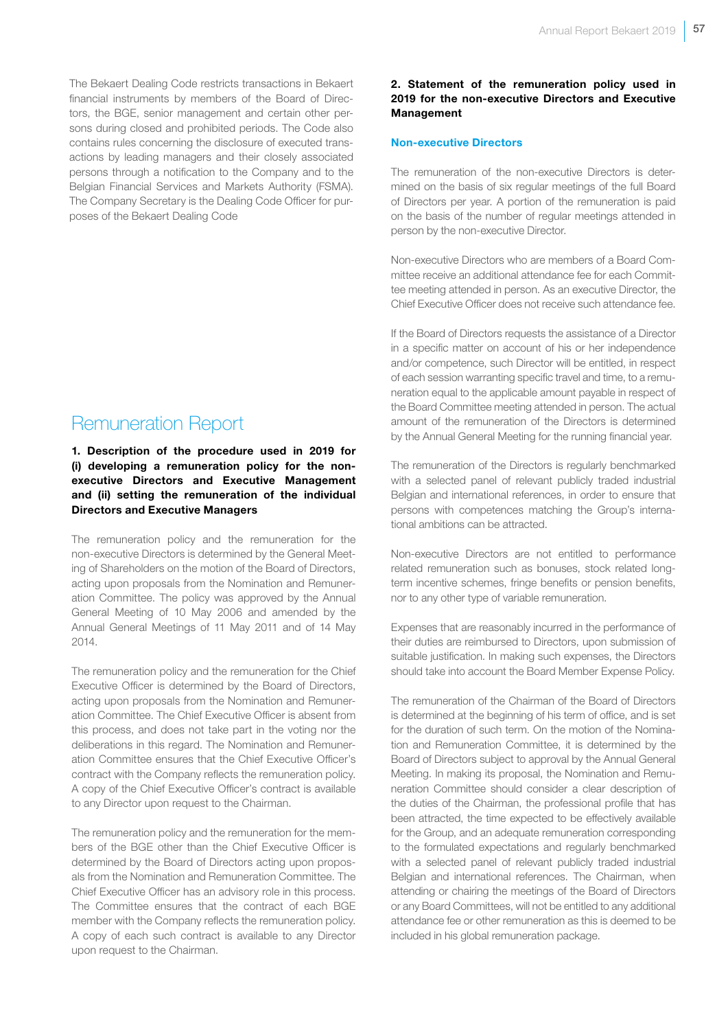The Bekaert Dealing Code restricts transactions in Bekaert financial instruments by members of the Board of Directors, the BGE, senior management and certain other persons during closed and prohibited periods. The Code also contains rules concerning the disclosure of executed transactions by leading managers and their closely associated persons through a notification to the Company and to the Belgian Financial Services and Markets Authority (FSMA). The Company Secretary is the Dealing Code Officer for purposes of the Bekaert Dealing Code

# Remuneration Report

# 1. Description of the procedure used in 2019 for (i) developing a remuneration policy for the nonexecutive Directors and Executive Management and (ii) setting the remuneration of the individual Directors and Executive Managers

The remuneration policy and the remuneration for the non-executive Directors is determined by the General Meeting of Shareholders on the motion of the Board of Directors, acting upon proposals from the Nomination and Remuneration Committee. The policy was approved by the Annual General Meeting of 10 May 2006 and amended by the Annual General Meetings of 11 May 2011 and of 14 May 2014.

The remuneration policy and the remuneration for the Chief Executive Officer is determined by the Board of Directors, acting upon proposals from the Nomination and Remuneration Committee. The Chief Executive Officer is absent from this process, and does not take part in the voting nor the deliberations in this regard. The Nomination and Remuneration Committee ensures that the Chief Executive Officer's contract with the Company reflects the remuneration policy. A copy of the Chief Executive Officer's contract is available to any Director upon request to the Chairman.

The remuneration policy and the remuneration for the members of the BGE other than the Chief Executive Officer is determined by the Board of Directors acting upon proposals from the Nomination and Remuneration Committee. The Chief Executive Officer has an advisory role in this process. The Committee ensures that the contract of each BGE member with the Company reflects the remuneration policy. A copy of each such contract is available to any Director upon request to the Chairman.

# 2. Statement of the remuneration policy used in 2019 for the non-executive Directors and Executive Management

#### Non-executive Directors

The remuneration of the non-executive Directors is determined on the basis of six regular meetings of the full Board of Directors per year. A portion of the remuneration is paid on the basis of the number of regular meetings attended in person by the non-executive Director.

Non-executive Directors who are members of a Board Committee receive an additional attendance fee for each Committee meeting attended in person. As an executive Director, the Chief Executive Officer does not receive such attendance fee.

If the Board of Directors requests the assistance of a Director in a specific matter on account of his or her independence and/or competence, such Director will be entitled, in respect of each session warranting specific travel and time, to a remuneration equal to the applicable amount payable in respect of the Board Committee meeting attended in person. The actual amount of the remuneration of the Directors is determined by the Annual General Meeting for the running financial year.

The remuneration of the Directors is regularly benchmarked with a selected panel of relevant publicly traded industrial Belgian and international references, in order to ensure that persons with competences matching the Group's international ambitions can be attracted.

Non-executive Directors are not entitled to performance related remuneration such as bonuses, stock related longterm incentive schemes, fringe benefits or pension benefits, nor to any other type of variable remuneration.

Expenses that are reasonably incurred in the performance of their duties are reimbursed to Directors, upon submission of suitable justification. In making such expenses, the Directors should take into account the Board Member Expense Policy.

The remuneration of the Chairman of the Board of Directors is determined at the beginning of his term of office, and is set for the duration of such term. On the motion of the Nomination and Remuneration Committee, it is determined by the Board of Directors subject to approval by the Annual General Meeting. In making its proposal, the Nomination and Remuneration Committee should consider a clear description of the duties of the Chairman, the professional profile that has been attracted, the time expected to be effectively available for the Group, and an adequate remuneration corresponding to the formulated expectations and regularly benchmarked with a selected panel of relevant publicly traded industrial Belgian and international references. The Chairman, when attending or chairing the meetings of the Board of Directors or any Board Committees, will not be entitled to any additional attendance fee or other remuneration as this is deemed to be included in his global remuneration package.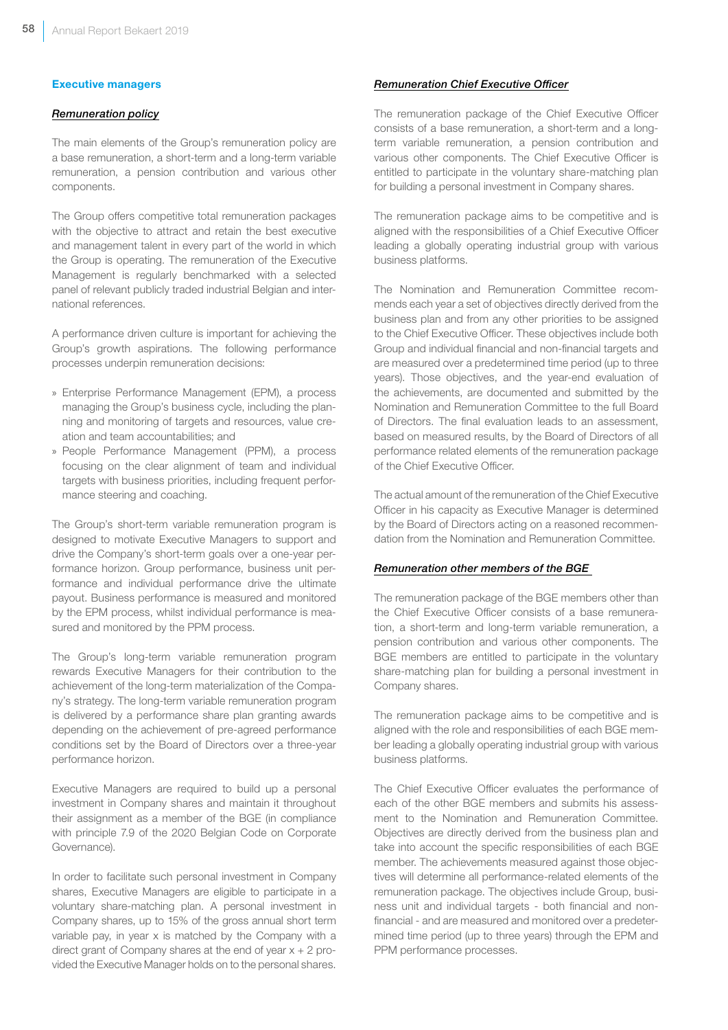#### Executive managers

#### *Remuneration policy*

The main elements of the Group's remuneration policy are a base remuneration, a short-term and a long-term variable remuneration, a pension contribution and various other components.

The Group offers competitive total remuneration packages with the objective to attract and retain the best executive and management talent in every part of the world in which the Group is operating. The remuneration of the Executive Management is regularly benchmarked with a selected panel of relevant publicly traded industrial Belgian and international references.

A performance driven culture is important for achieving the Group's growth aspirations. The following performance processes underpin remuneration decisions:

- » Enterprise Performance Management (EPM), a process managing the Group's business cycle, including the planning and monitoring of targets and resources, value creation and team accountabilities; and
- » People Performance Management (PPM), a process focusing on the clear alignment of team and individual targets with business priorities, including frequent performance steering and coaching.

The Group's short-term variable remuneration program is designed to motivate Executive Managers to support and drive the Company's short-term goals over a one-year performance horizon. Group performance, business unit performance and individual performance drive the ultimate payout. Business performance is measured and monitored by the EPM process, whilst individual performance is measured and monitored by the PPM process.

The Group's long-term variable remuneration program rewards Executive Managers for their contribution to the achievement of the long-term materialization of the Company's strategy. The long-term variable remuneration program is delivered by a performance share plan granting awards depending on the achievement of pre-agreed performance conditions set by the Board of Directors over a three-year performance horizon.

Executive Managers are required to build up a personal investment in Company shares and maintain it throughout their assignment as a member of the BGE (in compliance with principle 7.9 of the 2020 Belgian Code on Corporate Governance).

In order to facilitate such personal investment in Company shares, Executive Managers are eligible to participate in a voluntary share-matching plan. A personal investment in Company shares, up to 15% of the gross annual short term variable pay, in year x is matched by the Company with a direct grant of Company shares at the end of year  $x + 2$  provided the Executive Manager holds on to the personal shares.

#### *Remuneration Chief Executive Officer*

The remuneration package of the Chief Executive Officer consists of a base remuneration, a short-term and a longterm variable remuneration, a pension contribution and various other components. The Chief Executive Officer is entitled to participate in the voluntary share-matching plan for building a personal investment in Company shares.

The remuneration package aims to be competitive and is aligned with the responsibilities of a Chief Executive Officer leading a globally operating industrial group with various business platforms.

The Nomination and Remuneration Committee recommends each year a set of objectives directly derived from the business plan and from any other priorities to be assigned to the Chief Executive Officer. These objectives include both Group and individual financial and non-financial targets and are measured over a predetermined time period (up to three years). Those objectives, and the year-end evaluation of the achievements, are documented and submitted by the Nomination and Remuneration Committee to the full Board of Directors. The final evaluation leads to an assessment, based on measured results, by the Board of Directors of all performance related elements of the remuneration package of the Chief Executive Officer.

The actual amount of the remuneration of the Chief Executive Officer in his capacity as Executive Manager is determined by the Board of Directors acting on a reasoned recommendation from the Nomination and Remuneration Committee.

#### *Remuneration other members of the BGE*

The remuneration package of the BGE members other than the Chief Executive Officer consists of a base remuneration, a short-term and long-term variable remuneration, a pension contribution and various other components. The BGE members are entitled to participate in the voluntary share-matching plan for building a personal investment in Company shares.

The remuneration package aims to be competitive and is aligned with the role and responsibilities of each BGE member leading a globally operating industrial group with various business platforms.

The Chief Executive Officer evaluates the performance of each of the other BGE members and submits his assessment to the Nomination and Remuneration Committee. Objectives are directly derived from the business plan and take into account the specific responsibilities of each BGE member. The achievements measured against those objectives will determine all performance-related elements of the remuneration package. The objectives include Group, business unit and individual targets - both financial and nonfinancial - and are measured and monitored over a predetermined time period (up to three years) through the EPM and PPM performance processes.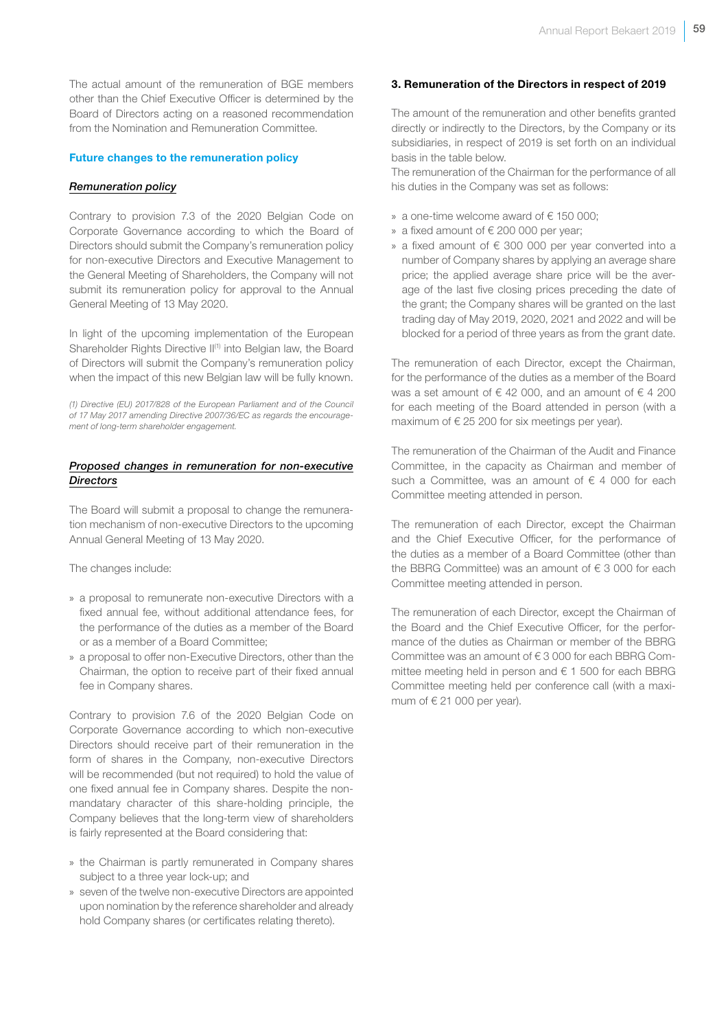The actual amount of the remuneration of BGE members other than the Chief Executive Officer is determined by the Board of Directors acting on a reasoned recommendation from the Nomination and Remuneration Committee.

#### Future changes to the remuneration policy

#### *Remuneration policy*

Contrary to provision 7.3 of the 2020 Belgian Code on Corporate Governance according to which the Board of Directors should submit the Company's remuneration policy for non-executive Directors and Executive Management to the General Meeting of Shareholders, the Company will not submit its remuneration policy for approval to the Annual General Meeting of 13 May 2020.

In light of the upcoming implementation of the European Shareholder Rights Directive II<sup>(1)</sup> into Belgian law, the Board of Directors will submit the Company's remuneration policy when the impact of this new Belgian law will be fully known.

*(1) Directive (EU) 2017/828 of the European Parliament and of the Council of 17 May 2017 amending Directive 2007/36/EC as regards the encouragement of long-term shareholder engagement.*

#### *Proposed changes in remuneration for non-executive Directors*

The Board will submit a proposal to change the remuneration mechanism of non-executive Directors to the upcoming Annual General Meeting of 13 May 2020.

The changes include:

- » a proposal to remunerate non-executive Directors with a fixed annual fee, without additional attendance fees, for the performance of the duties as a member of the Board or as a member of a Board Committee;
- » a proposal to offer non-Executive Directors, other than the Chairman, the option to receive part of their fixed annual fee in Company shares.

Contrary to provision 7.6 of the 2020 Belgian Code on Corporate Governance according to which non-executive Directors should receive part of their remuneration in the form of shares in the Company, non-executive Directors will be recommended (but not required) to hold the value of one fixed annual fee in Company shares. Despite the nonmandatary character of this share-holding principle, the Company believes that the long-term view of shareholders is fairly represented at the Board considering that:

- » the Chairman is partly remunerated in Company shares subject to a three year lock-up; and
- » seven of the twelve non-executive Directors are appointed upon nomination by the reference shareholder and already hold Company shares (or certificates relating thereto).

#### 3. Remuneration of the Directors in respect of 2019

The amount of the remuneration and other benefits granted directly or indirectly to the Directors, by the Company or its subsidiaries, in respect of 2019 is set forth on an individual basis in the table below.

The remuneration of the Chairman for the performance of all his duties in the Company was set as follows:

- » a one-time welcome award of € 150 000;
- » a fixed amount of € 200 000 per year;
- » a fixed amount of € 300 000 per year converted into a number of Company shares by applying an average share price; the applied average share price will be the average of the last five closing prices preceding the date of the grant; the Company shares will be granted on the last trading day of May 2019, 2020, 2021 and 2022 and will be blocked for a period of three years as from the grant date.

The remuneration of each Director, except the Chairman, for the performance of the duties as a member of the Board was a set amount of  $\epsilon$  42 000, and an amount of  $\epsilon$  4 200 for each meeting of the Board attended in person (with a maximum of  $\epsilon$  25 200 for six meetings per year).

The remuneration of the Chairman of the Audit and Finance Committee, in the capacity as Chairman and member of such a Committee, was an amount of  $\epsilon$  4 000 for each Committee meeting attended in person.

The remuneration of each Director, except the Chairman and the Chief Executive Officer, for the performance of the duties as a member of a Board Committee (other than the BBRG Committee) was an amount of  $\epsilon$  3 000 for each Committee meeting attended in person.

The remuneration of each Director, except the Chairman of the Board and the Chief Executive Officer, for the performance of the duties as Chairman or member of the BBRG Committee was an amount of € 3 000 for each BBRG Committee meeting held in person and € 1 500 for each BBRG Committee meeting held per conference call (with a maximum of  $\in$  21 000 per year).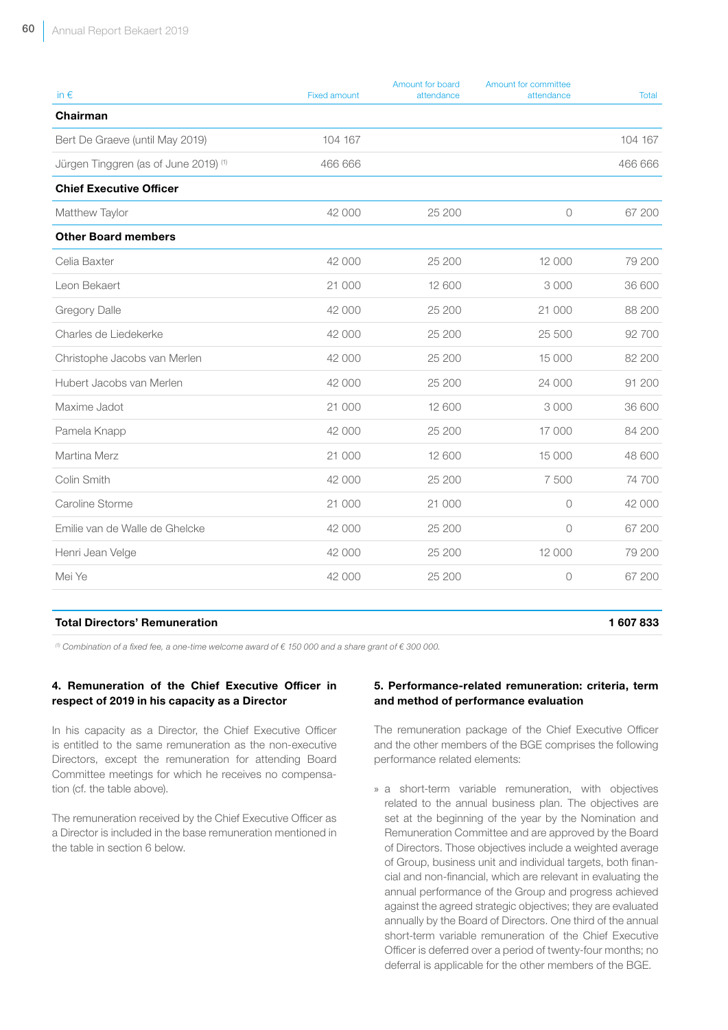| in $\epsilon$                         | <b>Fixed amount</b> | Amount for board<br>attendance | Amount for committee<br>attendance | Total   |
|---------------------------------------|---------------------|--------------------------------|------------------------------------|---------|
| Chairman                              |                     |                                |                                    |         |
| Bert De Graeve (until May 2019)       | 104 167             |                                |                                    | 104 167 |
| Jürgen Tinggren (as of June 2019) (1) | 466 666             |                                |                                    | 466 666 |
| <b>Chief Executive Officer</b>        |                     |                                |                                    |         |
| Matthew Taylor                        | 42 000              | 25 200                         | $\bigcirc$                         | 67 200  |
| <b>Other Board members</b>            |                     |                                |                                    |         |
| Celia Baxter                          | 42 000              | 25 200                         | 12 000                             | 79 200  |
| Leon Bekaert                          | 21 000              | 12 600                         | 3 0 0 0                            | 36 600  |
| Gregory Dalle                         | 42 000              | 25 200                         | 21 000                             | 88 200  |
| Charles de Liedekerke                 | 42 000              | 25 200                         | 25 500                             | 92 700  |
| Christophe Jacobs van Merlen          | 42 000              | 25 200                         | 15 000                             | 82 200  |
| Hubert Jacobs van Merlen              | 42 000              | 25 200                         | 24 000                             | 91 200  |
| Maxime Jadot                          | 21 000              | 12 600                         | 3 0 0 0                            | 36 600  |
| Pamela Knapp                          | 42 000              | 25 200                         | 17 000                             | 84 200  |
| Martina Merz                          | 21 000              | 12 600                         | 15 000                             | 48 600  |
| Colin Smith                           | 42 000              | 25 200                         | 7 500                              | 74 700  |
| Caroline Storme                       | 21 000              | 21 000                         | $\circ$                            | 42 000  |
| Emilie van de Walle de Ghelcke        | 42 000              | 25 200                         | $\circ$                            | 67 200  |
| Henri Jean Velge                      | 42 000              | 25 200                         | 12 000                             | 79 200  |
| Mei Ye                                | 42 000              | 25 200                         | $\circ$                            | 67 200  |
|                                       |                     |                                |                                    |         |

#### Total Directors' Remuneration 1 607 833

*(1) Combination of a fixed fee, a one-time welcome award of € 150 000 and a share grant of € 300 000.*

#### 4. Remuneration of the Chief Executive Officer in respect of 2019 in his capacity as a Director

In his capacity as a Director, the Chief Executive Officer is entitled to the same remuneration as the non-executive Directors, except the remuneration for attending Board Committee meetings for which he receives no compensation (cf. the table above).

The remuneration received by the Chief Executive Officer as a Director is included in the base remuneration mentioned in the table in section 6 below.

#### 5. Performance-related remuneration: criteria, term and method of performance evaluation

The remuneration package of the Chief Executive Officer and the other members of the BGE comprises the following performance related elements:

» a short-term variable remuneration, with objectives related to the annual business plan. The objectives are set at the beginning of the year by the Nomination and Remuneration Committee and are approved by the Board of Directors. Those objectives include a weighted average of Group, business unit and individual targets, both financial and non-financial, which are relevant in evaluating the annual performance of the Group and progress achieved against the agreed strategic objectives; they are evaluated annually by the Board of Directors. One third of the annual short-term variable remuneration of the Chief Executive Officer is deferred over a period of twenty-four months; no deferral is applicable for the other members of the BGE.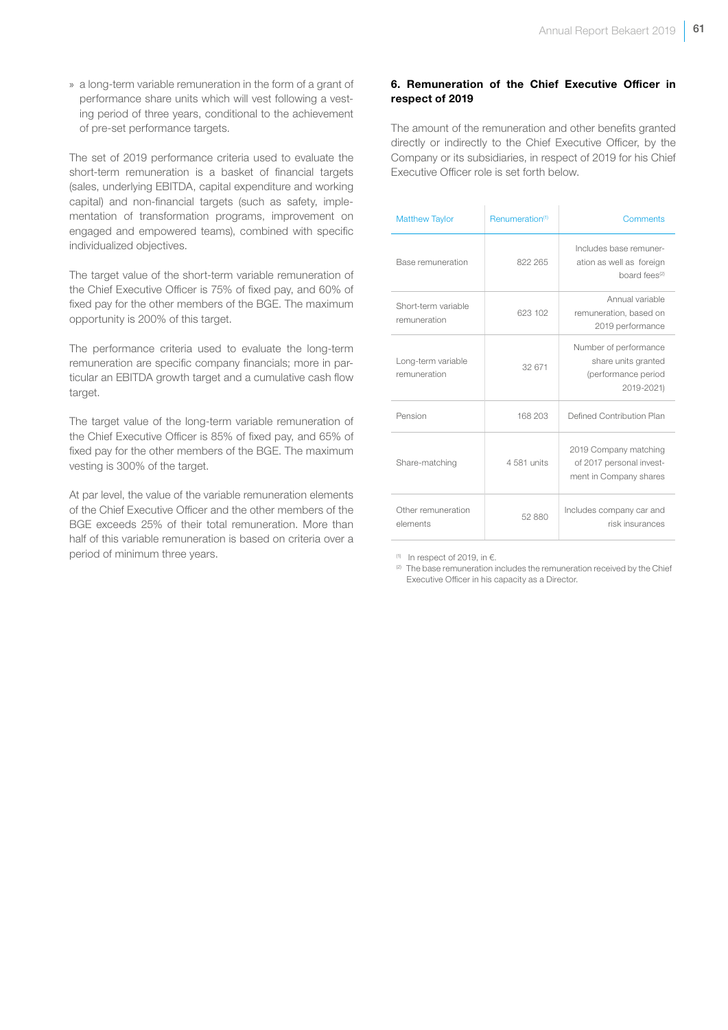» a long-term variable remuneration in the form of a grant of performance share units which will vest following a vesting period of three years, conditional to the achievement of pre-set performance targets.

The set of 2019 performance criteria used to evaluate the short-term remuneration is a basket of financial targets (sales, underlying EBITDA, capital expenditure and working capital) and non-financial targets (such as safety, implementation of transformation programs, improvement on engaged and empowered teams), combined with specific individualized objectives.

The target value of the short-term variable remuneration of the Chief Executive Officer is 75% of fixed pay, and 60% of fixed pay for the other members of the BGE. The maximum opportunity is 200% of this target.

The performance criteria used to evaluate the long-term remuneration are specific company financials; more in particular an EBITDA growth target and a cumulative cash flow target.

The target value of the long-term variable remuneration of the Chief Executive Officer is 85% of fixed pay, and 65% of fixed pay for the other members of the BGE. The maximum vesting is 300% of the target.

At par level, the value of the variable remuneration elements of the Chief Executive Officer and the other members of the BGE exceeds 25% of their total remuneration. More than half of this variable remuneration is based on criteria over a period of minimum three years.

### 6. Remuneration of the Chief Executive Officer in respect of 2019

The amount of the remuneration and other benefits granted directly or indirectly to the Chief Executive Officer, by the Company or its subsidiaries, in respect of 2019 for his Chief Executive Officer role is set forth below.

| <b>Matthew Taylor</b>               | Renumeration <sup>(1)</sup> | Comments                                                                          |
|-------------------------------------|-----------------------------|-----------------------------------------------------------------------------------|
| Base remuneration                   | 822 265                     | Includes base remuner-<br>ation as well as foreign<br>board fees <sup>(2)</sup>   |
| Short-term variable<br>remuneration | 623 102                     | Annual variable<br>remuneration, based on<br>2019 performance                     |
| Long-term variable<br>remuneration  | 32 671                      | Number of performance<br>share units granted<br>(performance period<br>2019-2021) |
| Pension                             | 168 203                     | Defined Contribution Plan                                                         |
| Share-matching                      | 4 581 units                 | 2019 Company matching<br>of 2017 personal invest-<br>ment in Company shares       |
| Other remuneration<br>elements      | 52 880                      | Includes company car and<br>risk insurances                                       |

(1) In respect of 2019, in  $\epsilon$ .

(2) The base remuneration includes the remuneration received by the Chief Executive Officer in his capacity as a Director.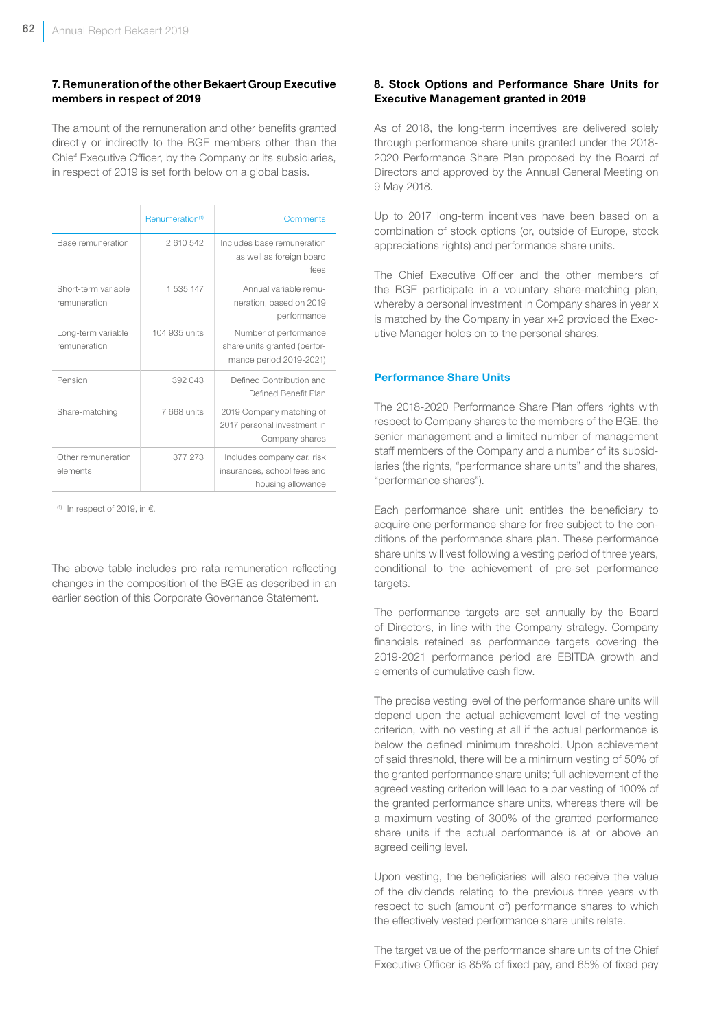# 7. Remuneration of the other Bekaert Group Executive members in respect of 2019

The amount of the remuneration and other benefits granted directly or indirectly to the BGE members other than the Chief Executive Officer, by the Company or its subsidiaries, in respect of 2019 is set forth below on a global basis.

|                                     | Renumeration <sup>(1)</sup> | Comments                                                                         |
|-------------------------------------|-----------------------------|----------------------------------------------------------------------------------|
| Base remuneration                   | 2610542                     | Includes base remuneration<br>as well as foreign board<br>fees                   |
| Short-term variable<br>remuneration | 1 535 147                   | Annual variable remu-<br>neration, based on 2019<br>performance                  |
| Long-term variable<br>remuneration  | 104 935 units               | Number of performance<br>share units granted (perfor-<br>mance period 2019-2021) |
| Pension                             | 392 043                     | Defined Contribution and<br>Defined Benefit Plan                                 |
| Share-matching                      | 7 668 units                 | 2019 Company matching of<br>2017 personal investment in<br>Company shares        |
| Other remuneration<br>elements      | 377 273                     | Includes company car, risk<br>insurances, school fees and<br>housing allowance   |

(1) In respect of 2019, in  $\epsilon$ .

The above table includes pro rata remuneration reflecting changes in the composition of the BGE as described in an earlier section of this Corporate Governance Statement.

# 8. Stock Options and Performance Share Units for Executive Management granted in 2019

As of 2018, the long-term incentives are delivered solely through performance share units granted under the 2018- 2020 Performance Share Plan proposed by the Board of Directors and approved by the Annual General Meeting on 9 May 2018.

Up to 2017 long-term incentives have been based on a combination of stock options (or, outside of Europe, stock appreciations rights) and performance share units.

The Chief Executive Officer and the other members of the BGE participate in a voluntary share-matching plan, whereby a personal investment in Company shares in year x is matched by the Company in year x+2 provided the Executive Manager holds on to the personal shares.

#### Performance Share Units

The 2018-2020 Performance Share Plan offers rights with respect to Company shares to the members of the BGE, the senior management and a limited number of management staff members of the Company and a number of its subsidiaries (the rights, "performance share units" and the shares, "performance shares").

Each performance share unit entitles the beneficiary to acquire one performance share for free subject to the conditions of the performance share plan. These performance share units will vest following a vesting period of three years, conditional to the achievement of pre-set performance targets.

The performance targets are set annually by the Board of Directors, in line with the Company strategy. Company financials retained as performance targets covering the 2019-2021 performance period are EBITDA growth and elements of cumulative cash flow.

The precise vesting level of the performance share units will depend upon the actual achievement level of the vesting criterion, with no vesting at all if the actual performance is below the defined minimum threshold. Upon achievement of said threshold, there will be a minimum vesting of 50% of the granted performance share units; full achievement of the agreed vesting criterion will lead to a par vesting of 100% of the granted performance share units, whereas there will be a maximum vesting of 300% of the granted performance share units if the actual performance is at or above an agreed ceiling level.

Upon vesting, the beneficiaries will also receive the value of the dividends relating to the previous three years with respect to such (amount of) performance shares to which the effectively vested performance share units relate.

The target value of the performance share units of the Chief Executive Officer is 85% of fixed pay, and 65% of fixed pay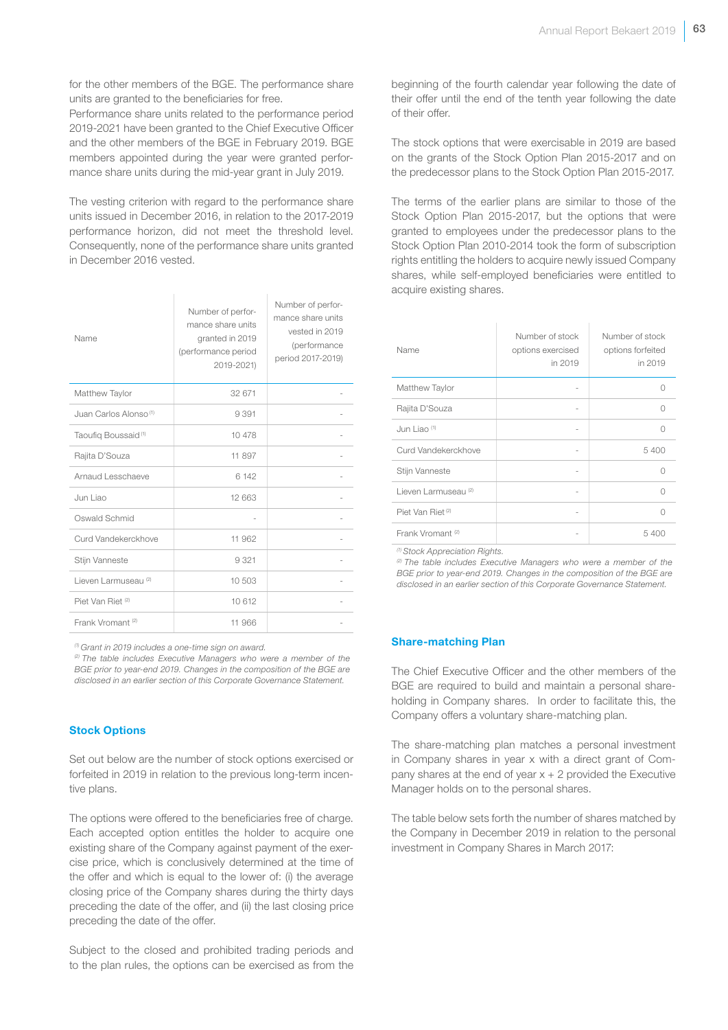for the other members of the BGE. The performance share units are granted to the beneficiaries for free.

Performance share units related to the performance period 2019-2021 have been granted to the Chief Executive Officer and the other members of the BGE in February 2019. BGE members appointed during the year were granted performance share units during the mid-year grant in July 2019.

The vesting criterion with regard to the performance share units issued in December 2016, in relation to the 2017-2019 performance horizon, did not meet the threshold level. Consequently, none of the performance share units granted in December 2016 vested.

| Name                              | Number of perfor-<br>mance share units<br>granted in 2019<br>(performance period<br>2019-2021) | Number of perfor-<br>mance share units<br>vested in 2019<br>(performance<br>period 2017-2019) |
|-----------------------------------|------------------------------------------------------------------------------------------------|-----------------------------------------------------------------------------------------------|
| Matthew Taylor                    | 32 671                                                                                         |                                                                                               |
| Juan Carlos Alonso <sup>(1)</sup> | 9 3 9 1                                                                                        |                                                                                               |
| Taoufig Boussaid <sup>(1)</sup>   | 10 478                                                                                         |                                                                                               |
| Rajita D'Souza                    | 11 897                                                                                         |                                                                                               |
| Arnaud Lesschaeve                 | 6 142                                                                                          |                                                                                               |
| Jun Liao                          | 12 663                                                                                         |                                                                                               |
| Oswald Schmid                     |                                                                                                |                                                                                               |
| Curd Vandekerckhove               | 11 962                                                                                         |                                                                                               |
| Stijn Vanneste                    | 9321                                                                                           |                                                                                               |
| Lieven Larmuseau <sup>(2)</sup>   | 10 503                                                                                         |                                                                                               |
| Piet Van Riet <sup>(2)</sup>      | 10 612                                                                                         |                                                                                               |
| Frank Vromant <sup>(2)</sup>      | 11 966                                                                                         |                                                                                               |

*(1) Grant in 2019 includes a one-time sign on award.*

*(2) The table includes Executive Managers who were a member of the BGE prior to year-end 2019. Changes in the composition of the BGE are disclosed in an earlier section of this Corporate Governance Statement.*

#### Stock Options

Set out below are the number of stock options exercised or forfeited in 2019 in relation to the previous long-term incentive plans.

The options were offered to the beneficiaries free of charge. Each accepted option entitles the holder to acquire one existing share of the Company against payment of the exercise price, which is conclusively determined at the time of the offer and which is equal to the lower of: (i) the average closing price of the Company shares during the thirty days preceding the date of the offer, and (ii) the last closing price preceding the date of the offer.

Subject to the closed and prohibited trading periods and to the plan rules, the options can be exercised as from the beginning of the fourth calendar year following the date of their offer until the end of the tenth year following the date of their offer.

The stock options that were exercisable in 2019 are based on the grants of the Stock Option Plan 2015-2017 and on the predecessor plans to the Stock Option Plan 2015-2017.

The terms of the earlier plans are similar to those of the Stock Option Plan 2015-2017, but the options that were granted to employees under the predecessor plans to the Stock Option Plan 2010-2014 took the form of subscription rights entitling the holders to acquire newly issued Company shares, while self-employed beneficiaries were entitled to acquire existing shares.

| Name                            | Number of stock<br>options exercised<br>in 2019 | Number of stock<br>options forfeited<br>in 2019 |
|---------------------------------|-------------------------------------------------|-------------------------------------------------|
| Matthew Taylor                  |                                                 |                                                 |
| Rajita D'Souza                  |                                                 | Λ                                               |
| Jun Liao <sup>(1)</sup>         | ۰                                               |                                                 |
| Curd Vandekerckhove             | $\overline{\phantom{a}}$                        | 5400                                            |
| Stijn Vanneste                  |                                                 | Ω                                               |
| Lieven Larmuseau <sup>(2)</sup> |                                                 | Λ                                               |
| Piet Van Riet <sup>(2)</sup>    | $\overline{\phantom{a}}$                        | Λ                                               |
| Frank Vromant <sup>(2)</sup>    |                                                 | 5400                                            |

*(1) Stock Appreciation Rights.*

*(2) The table includes Executive Managers who were a member of the BGE prior to year-end 2019. Changes in the composition of the BGE are disclosed in an earlier section of this Corporate Governance Statement.*

#### Share-matching Plan

The Chief Executive Officer and the other members of the BGE are required to build and maintain a personal shareholding in Company shares. In order to facilitate this, the Company offers a voluntary share-matching plan.

The share-matching plan matches a personal investment in Company shares in year x with a direct grant of Company shares at the end of year  $x + 2$  provided the Executive Manager holds on to the personal shares.

The table below sets forth the number of shares matched by the Company in December 2019 in relation to the personal investment in Company Shares in March 2017: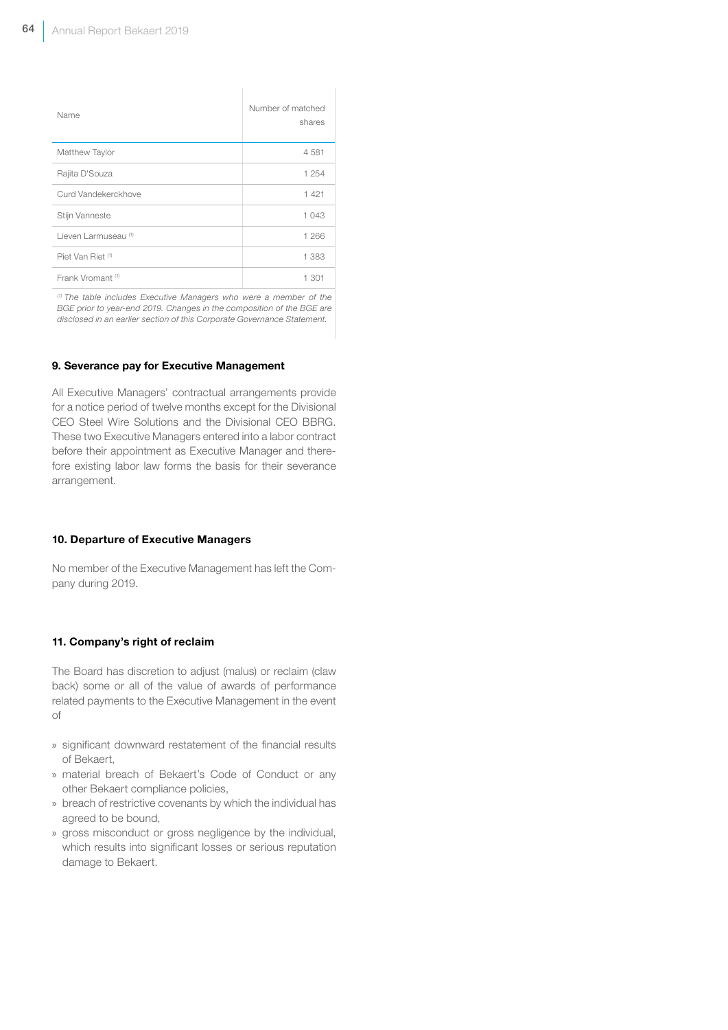| Name                            | Number of matched<br>shares |
|---------------------------------|-----------------------------|
| Matthew Taylor                  | 4581                        |
| Rajita D'Souza                  | 1 254                       |
| Curd Vandekerckhove             | 1 4 2 1                     |
| Stijn Vanneste                  | 1 043                       |
| Lieven Larmuseau <sup>(1)</sup> | 1 266                       |
| Piet Van Riet (1)               | 1 383                       |
| Frank Vromant <sup>(1)</sup>    | 1 301                       |

*(1) The table includes Executive Managers who were a member of the BGE prior to year-end 2019. Changes in the composition of the BGE are disclosed in an earlier section of this Corporate Governance Statement.*

#### 9. Severance pay for Executive Management

All Executive Managers' contractual arrangements provide for a notice period of twelve months except for the Divisional CEO Steel Wire Solutions and the Divisional CEO BBRG. These two Executive Managers entered into a labor contract before their appointment as Executive Manager and therefore existing labor law forms the basis for their severance arrangement.

#### 10. Departure of Executive Managers

No member of the Executive Management has left the Company during 2019.

#### 11. Company's right of reclaim

The Board has discretion to adjust (malus) or reclaim (claw back) some or all of the value of awards of performance related payments to the Executive Management in the event of

- » significant downward restatement of the financial results of Bekaert,
- » material breach of Bekaert's Code of Conduct or any other Bekaert compliance policies,
- » breach of restrictive covenants by which the individual has agreed to be bound,
- » gross misconduct or gross negligence by the individual, which results into significant losses or serious reputation damage to Bekaert.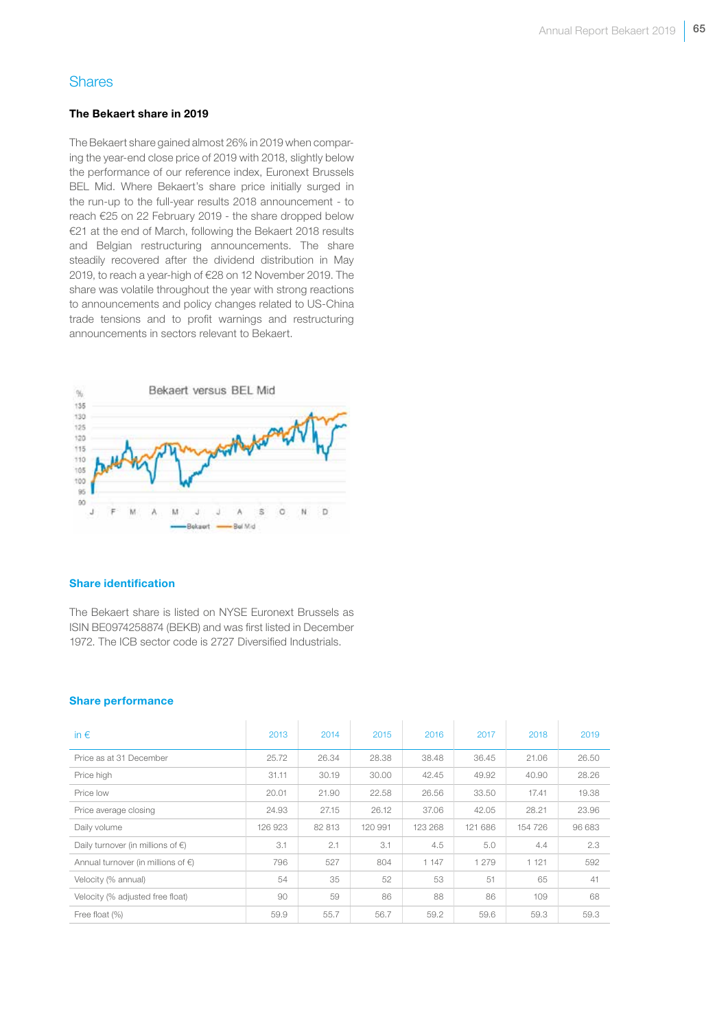# **Shares**

#### The Bekaert share in 2019

The Bekaert share gained almost 26% in 2019 when comparing the year-end close price of 2019 with 2018, slightly below the performance of our reference index, Euronext Brussels BEL Mid. Where Bekaert's share price initially surged in the run-up to the full-year results 2018 announcement - to reach €25 on 22 February 2019 - the share dropped below €21 at the end of March, following the Bekaert 2018 results and Belgian restructuring announcements. The share steadily recovered after the dividend distribution in May 2019, to reach a year-high of €28 on 12 November 2019. The share was volatile throughout the year with strong reactions to announcements and policy changes related to US-China trade tensions and to profit warnings and restructuring announcements in sectors relevant to Bekaert.



#### Share identification

The Bekaert share is listed on NYSE Euronext Brussels as ISIN BE0974258874 (BEKB) and was first listed in December 1972. The ICB sector code is 2727 Diversified Industrials.

#### Share performance

| in $\epsilon$                                | 2013    | 2014   | 2015    | 2016    | 2017    | 2018    | 2019   |
|----------------------------------------------|---------|--------|---------|---------|---------|---------|--------|
| Price as at 31 December                      | 25.72   | 26.34  | 28.38   | 38.48   | 36.45   | 21.06   | 26.50  |
| Price high                                   | 31.11   | 30.19  | 30.00   | 42.45   | 49.92   | 40.90   | 28.26  |
| Price low                                    | 20.01   | 21.90  | 22.58   | 26.56   | 33.50   | 17.41   | 19.38  |
| Price average closing                        | 24.93   | 27.15  | 26.12   | 37.06   | 42.05   | 28.21   | 23.96  |
| Daily volume                                 | 126 923 | 82 813 | 120 991 | 123 268 | 121 686 | 154 726 | 96 683 |
| Daily turnover (in millions of $\in$ )       | 3.1     | 2.1    | 3.1     | 4.5     | 5.0     | 4.4     | 2.3    |
| Annual turnover (in millions of $\epsilon$ ) | 796     | 527    | 804     | 1 147   | 1 279   | 1 1 2 1 | 592    |
| Velocity (% annual)                          | 54      | 35     | 52      | 53      | 51      | 65      | 41     |
| Velocity (% adjusted free float)             | 90      | 59     | 86      | 88      | 86      | 109     | 68     |
| Free float (%)                               | 59.9    | 55.7   | 56.7    | 59.2    | 59.6    | 59.3    | 59.3   |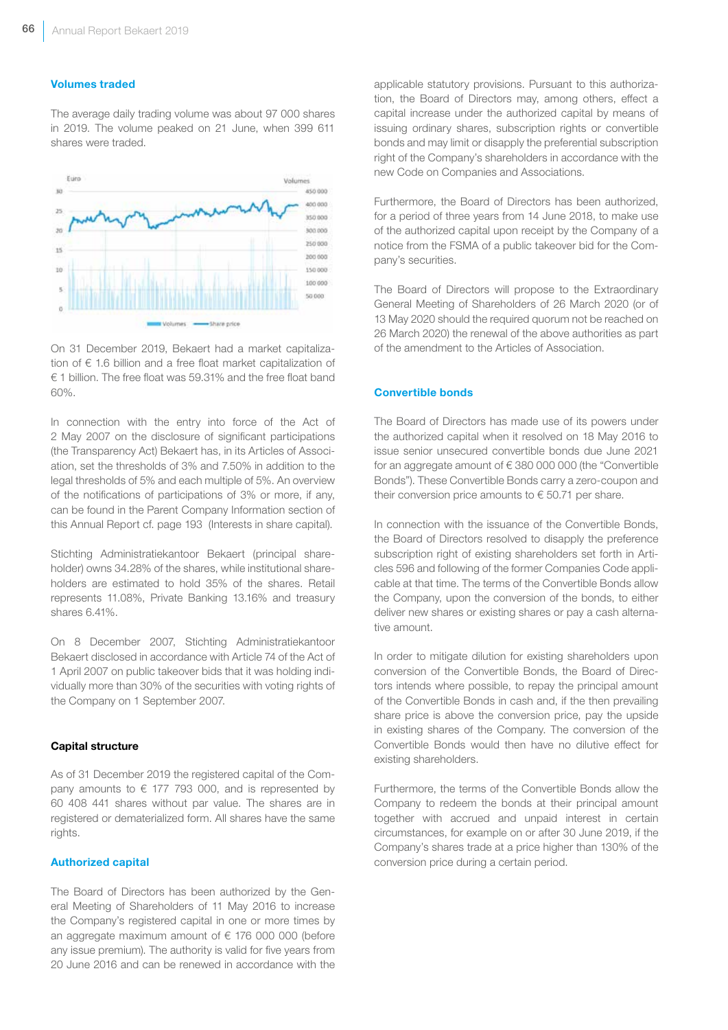#### Volumes traded

The average daily trading volume was about 97 000 shares in 2019. The volume peaked on 21 June, when 399 611 shares were traded.



On 31 December 2019, Bekaert had a market capitalization of € 1.6 billion and a free float market capitalization of € 1 billion. The free float was 59.31% and the free float band 60%.

In connection with the entry into force of the Act of 2 May 2007 on the disclosure of significant participations (the Transparency Act) Bekaert has, in its Articles of Association, set the thresholds of 3% and 7.50% in addition to the legal thresholds of 5% and each multiple of 5%. An overview of the notifications of participations of 3% or more, if any, can be found in the Parent Company Information section of this Annual Report cf. page 193 (Interests in share capital).

Stichting Administratiekantoor Bekaert (principal shareholder) owns 34.28% of the shares, while institutional shareholders are estimated to hold 35% of the shares. Retail represents 11.08%, Private Banking 13.16% and treasury shares 6.41%.

On 8 December 2007, Stichting Administratiekantoor Bekaert disclosed in accordance with Article 74 of the Act of 1 April 2007 on public takeover bids that it was holding individually more than 30% of the securities with voting rights of the Company on 1 September 2007.

#### Capital structure

As of 31 December 2019 the registered capital of the Company amounts to  $\epsilon$  177 793 000, and is represented by 60 408 441 shares without par value. The shares are in registered or dematerialized form. All shares have the same rights.

### Authorized capital

The Board of Directors has been authorized by the General Meeting of Shareholders of 11 May 2016 to increase the Company's registered capital in one or more times by an aggregate maximum amount of € 176 000 000 (before any issue premium). The authority is valid for five years from 20 June 2016 and can be renewed in accordance with the

applicable statutory provisions. Pursuant to this authorization, the Board of Directors may, among others, effect a capital increase under the authorized capital by means of issuing ordinary shares, subscription rights or convertible bonds and may limit or disapply the preferential subscription right of the Company's shareholders in accordance with the new Code on Companies and Associations.

Furthermore, the Board of Directors has been authorized, for a period of three years from 14 June 2018, to make use of the authorized capital upon receipt by the Company of a notice from the FSMA of a public takeover bid for the Company's securities.

The Board of Directors will propose to the Extraordinary General Meeting of Shareholders of 26 March 2020 (or of 13 May 2020 should the required quorum not be reached on 26 March 2020) the renewal of the above authorities as part of the amendment to the Articles of Association.

#### Convertible bonds

The Board of Directors has made use of its powers under the authorized capital when it resolved on 18 May 2016 to issue senior unsecured convertible bonds due June 2021 for an aggregate amount of € 380 000 000 (the "Convertible Bonds"). These Convertible Bonds carry a zero-coupon and their conversion price amounts to  $\epsilon$  50.71 per share.

In connection with the issuance of the Convertible Bonds, the Board of Directors resolved to disapply the preference subscription right of existing shareholders set forth in Articles 596 and following of the former Companies Code applicable at that time. The terms of the Convertible Bonds allow the Company, upon the conversion of the bonds, to either deliver new shares or existing shares or pay a cash alternative amount.

In order to mitigate dilution for existing shareholders upon conversion of the Convertible Bonds, the Board of Directors intends where possible, to repay the principal amount of the Convertible Bonds in cash and, if the then prevailing share price is above the conversion price, pay the upside in existing shares of the Company. The conversion of the Convertible Bonds would then have no dilutive effect for existing shareholders.

Furthermore, the terms of the Convertible Bonds allow the Company to redeem the bonds at their principal amount together with accrued and unpaid interest in certain circumstances, for example on or after 30 June 2019, if the Company's shares trade at a price higher than 130% of the conversion price during a certain period.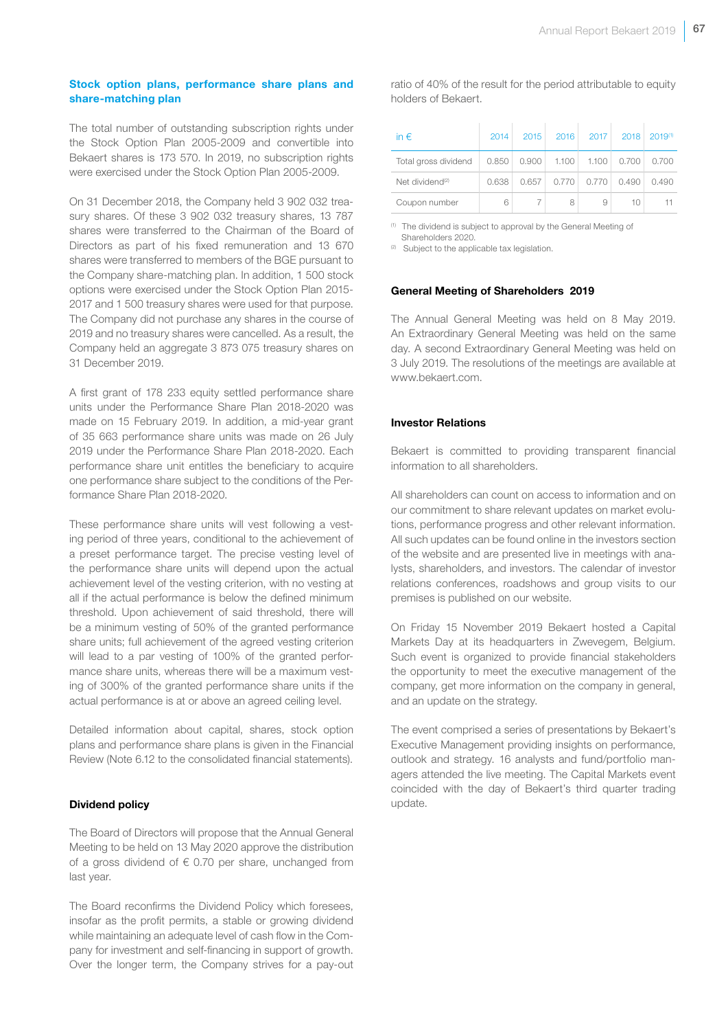#### Stock option plans, performance share plans and share-matching plan

The total number of outstanding subscription rights under the Stock Option Plan 2005-2009 and convertible into Bekaert shares is 173 570. In 2019, no subscription rights were exercised under the Stock Option Plan 2005-2009.

On 31 December 2018, the Company held 3 902 032 treasury shares. Of these 3 902 032 treasury shares, 13 787 shares were transferred to the Chairman of the Board of Directors as part of his fixed remuneration and 13 670 shares were transferred to members of the BGE pursuant to the Company share-matching plan. In addition, 1 500 stock options were exercised under the Stock Option Plan 2015- 2017 and 1 500 treasury shares were used for that purpose. The Company did not purchase any shares in the course of 2019 and no treasury shares were cancelled. As a result, the Company held an aggregate 3 873 075 treasury shares on 31 December 2019.

A first grant of 178 233 equity settled performance share units under the Performance Share Plan 2018-2020 was made on 15 February 2019. In addition, a mid-year grant of 35 663 performance share units was made on 26 July 2019 under the Performance Share Plan 2018-2020. Each performance share unit entitles the beneficiary to acquire one performance share subject to the conditions of the Performance Share Plan 2018-2020.

These performance share units will vest following a vesting period of three years, conditional to the achievement of a preset performance target. The precise vesting level of the performance share units will depend upon the actual achievement level of the vesting criterion, with no vesting at all if the actual performance is below the defined minimum threshold. Upon achievement of said threshold, there will be a minimum vesting of 50% of the granted performance share units; full achievement of the agreed vesting criterion will lead to a par vesting of 100% of the granted performance share units, whereas there will be a maximum vesting of 300% of the granted performance share units if the actual performance is at or above an agreed ceiling level.

Detailed information about capital, shares, stock option plans and performance share plans is given in the Financial Review (Note 6.12 to the consolidated financial statements).

#### Dividend policy

The Board of Directors will propose that the Annual General Meeting to be held on 13 May 2020 approve the distribution of a gross dividend of  $\epsilon$  0.70 per share, unchanged from last year.

The Board reconfirms the Dividend Policy which foresees, insofar as the profit permits, a stable or growing dividend while maintaining an adequate level of cash flow in the Company for investment and self-financing in support of growth. Over the longer term, the Company strives for a pay-out ratio of 40% of the result for the period attributable to equity holders of Bekaert.

| in $\epsilon$               | 2014  | 2015                      | 2016  | 2017  | 2018  | $2019^{(1)}$ |
|-----------------------------|-------|---------------------------|-------|-------|-------|--------------|
| Total gross dividend        |       | $0.850$   $0.900$   1.100 |       | 1.100 | 0.700 | 0.700        |
| Net dividend <sup>(2)</sup> | 0.638 | 0.657                     | 0.770 | 0.770 | 0.490 | 0.490        |
| Coupon number               | 6     |                           | 8     | 9     | 10    |              |

 $(1)$  The dividend is subject to approval by the General Meeting of

Shareholders 2020. <sup>(2)</sup> Subject to the applicable tax legislation.

#### General Meeting of Shareholders 2019

The Annual General Meeting was held on 8 May 2019. An Extraordinary General Meeting was held on the same day. A second Extraordinary General Meeting was held on 3 July 2019. The resolutions of the meetings are available at www.bekaert.com.

#### Investor Relations

Bekaert is committed to providing transparent financial information to all shareholders.

All shareholders can count on access to information and on our commitment to share relevant updates on market evolutions, performance progress and other relevant information. All such updates can be found online in the investors section of the website and are presented live in meetings with analysts, shareholders, and investors. The calendar of investor relations conferences, roadshows and group visits to our premises is published on our website.

On Friday 15 November 2019 Bekaert hosted a Capital Markets Day at its headquarters in Zwevegem, Belgium. Such event is organized to provide financial stakeholders the opportunity to meet the executive management of the company, get more information on the company in general, and an update on the strategy.

The event comprised a series of presentations by Bekaert's Executive Management providing insights on performance, outlook and strategy. 16 analysts and fund/portfolio managers attended the live meeting. The Capital Markets event coincided with the day of Bekaert's third quarter trading update.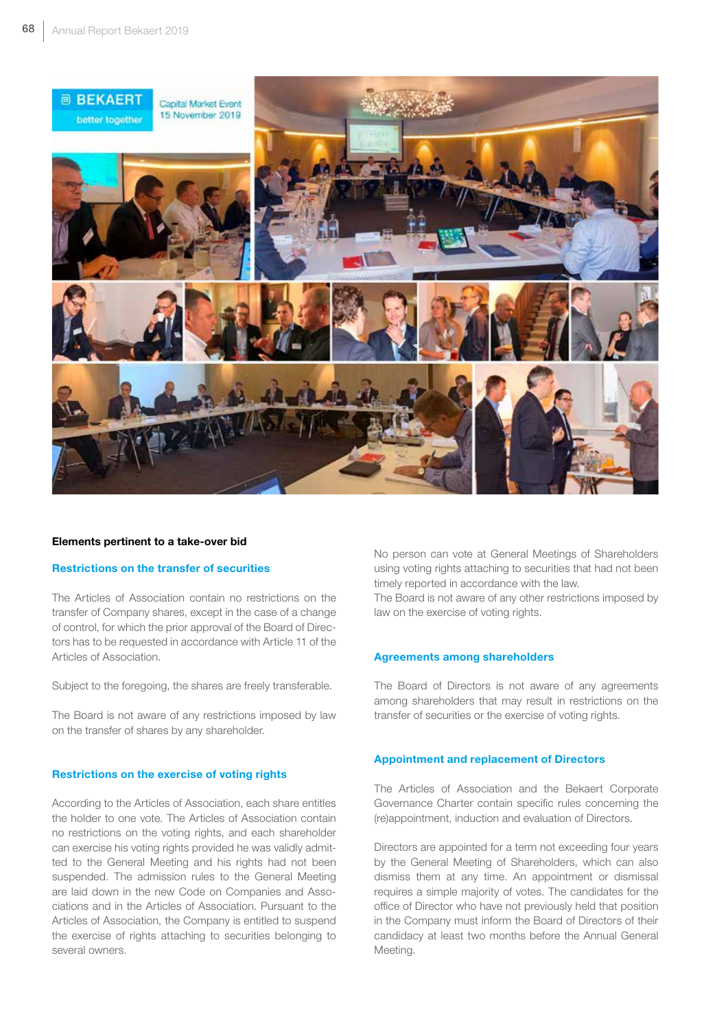

#### Elements pertinent to a take-over bid

#### Restrictions on the transfer of securities

The Articles of Association contain no restrictions on the transfer of Company shares, except in the case of a change of control, for which the prior approval of the Board of Directors has to be requested in accordance with Article 11 of the Articles of Association.

Subject to the foregoing, the shares are freely transferable.

The Board is not aware of any restrictions imposed by law on the transfer of shares by any shareholder.

#### Restrictions on the exercise of voting rights

According to the Articles of Association, each share entitles the holder to one vote. The Articles of Association contain no restrictions on the voting rights, and each shareholder can exercise his voting rights provided he was validly admitted to the General Meeting and his rights had not been suspended. The admission rules to the General Meeting are laid down in the new Code on Companies and Associations and in the Articles of Association. Pursuant to the Articles of Association, the Company is entitled to suspend the exercise of rights attaching to securities belonging to several owners.

No person can vote at General Meetings of Shareholders using voting rights attaching to securities that had not been timely reported in accordance with the law.

The Board is not aware of any other restrictions imposed by law on the exercise of voting rights.

#### Agreements among shareholders

The Board of Directors is not aware of any agreements among shareholders that may result in restrictions on the transfer of securities or the exercise of voting rights.

#### Appointment and replacement of Directors

The Articles of Association and the Bekaert Corporate Governance Charter contain specific rules concerning the (re)appointment, induction and evaluation of Directors.

Directors are appointed for a term not exceeding four years by the General Meeting of Shareholders, which can also dismiss them at any time. An appointment or dismissal requires a simple majority of votes. The candidates for the office of Director who have not previously held that position in the Company must inform the Board of Directors of their candidacy at least two months before the Annual General Meeting.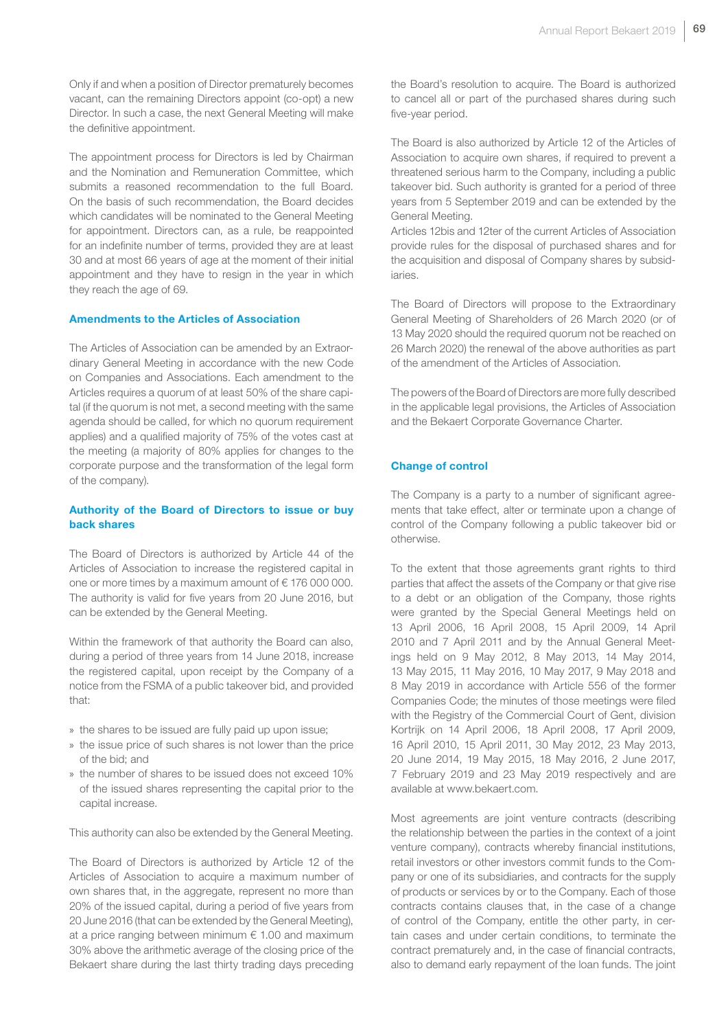Only if and when a position of Director prematurely becomes vacant, can the remaining Directors appoint (co-opt) a new Director. In such a case, the next General Meeting will make the definitive appointment.

The appointment process for Directors is led by Chairman and the Nomination and Remuneration Committee, which submits a reasoned recommendation to the full Board. On the basis of such recommendation, the Board decides which candidates will be nominated to the General Meeting for appointment. Directors can, as a rule, be reappointed for an indefinite number of terms, provided they are at least 30 and at most 66 years of age at the moment of their initial appointment and they have to resign in the year in which they reach the age of 69.

#### Amendments to the Articles of Association

The Articles of Association can be amended by an Extraordinary General Meeting in accordance with the new Code on Companies and Associations. Each amendment to the Articles requires a quorum of at least 50% of the share capital (if the quorum is not met, a second meeting with the same agenda should be called, for which no quorum requirement applies) and a qualified majority of 75% of the votes cast at the meeting (a majority of 80% applies for changes to the corporate purpose and the transformation of the legal form of the company).

### Authority of the Board of Directors to issue or buy back shares

The Board of Directors is authorized by Article 44 of the Articles of Association to increase the registered capital in one or more times by a maximum amount of € 176 000 000. The authority is valid for five years from 20 June 2016, but can be extended by the General Meeting.

Within the framework of that authority the Board can also, during a period of three years from 14 June 2018, increase the registered capital, upon receipt by the Company of a notice from the FSMA of a public takeover bid, and provided that:

- » the shares to be issued are fully paid up upon issue;
- » the issue price of such shares is not lower than the price of the bid; and
- » the number of shares to be issued does not exceed 10% of the issued shares representing the capital prior to the capital increase.

This authority can also be extended by the General Meeting.

The Board of Directors is authorized by Article 12 of the Articles of Association to acquire a maximum number of own shares that, in the aggregate, represent no more than 20% of the issued capital, during a period of five years from 20 June 2016 (that can be extended by the General Meeting), at a price ranging between minimum  $\epsilon$  1.00 and maximum 30% above the arithmetic average of the closing price of the Bekaert share during the last thirty trading days preceding

the Board's resolution to acquire. The Board is authorized to cancel all or part of the purchased shares during such five-year period.

The Board is also authorized by Article 12 of the Articles of Association to acquire own shares, if required to prevent a threatened serious harm to the Company, including a public takeover bid. Such authority is granted for a period of three years from 5 September 2019 and can be extended by the General Meeting.

Articles 12bis and 12ter of the current Articles of Association provide rules for the disposal of purchased shares and for the acquisition and disposal of Company shares by subsidiaries.

The Board of Directors will propose to the Extraordinary General Meeting of Shareholders of 26 March 2020 (or of 13 May 2020 should the required quorum not be reached on 26 March 2020) the renewal of the above authorities as part of the amendment of the Articles of Association.

The powers of the Board of Directors are more fully described in the applicable legal provisions, the Articles of Association and the Bekaert Corporate Governance Charter.

#### Change of control

The Company is a party to a number of significant agreements that take effect, alter or terminate upon a change of control of the Company following a public takeover bid or otherwise.

To the extent that those agreements grant rights to third parties that affect the assets of the Company or that give rise to a debt or an obligation of the Company, those rights were granted by the Special General Meetings held on 13 April 2006, 16 April 2008, 15 April 2009, 14 April 2010 and 7 April 2011 and by the Annual General Meetings held on 9 May 2012, 8 May 2013, 14 May 2014, 13 May 2015, 11 May 2016, 10 May 2017, 9 May 2018 and 8 May 2019 in accordance with Article 556 of the former Companies Code; the minutes of those meetings were filed with the Registry of the Commercial Court of Gent, division Kortrijk on 14 April 2006, 18 April 2008, 17 April 2009, 16 April 2010, 15 April 2011, 30 May 2012, 23 May 2013, 20 June 2014, 19 May 2015, 18 May 2016, 2 June 2017, 7 February 2019 and 23 May 2019 respectively and are available at www.bekaert.com.

Most agreements are joint venture contracts (describing the relationship between the parties in the context of a joint venture company), contracts whereby financial institutions, retail investors or other investors commit funds to the Company or one of its subsidiaries, and contracts for the supply of products or services by or to the Company. Each of those contracts contains clauses that, in the case of a change of control of the Company, entitle the other party, in certain cases and under certain conditions, to terminate the contract prematurely and, in the case of financial contracts, also to demand early repayment of the loan funds. The joint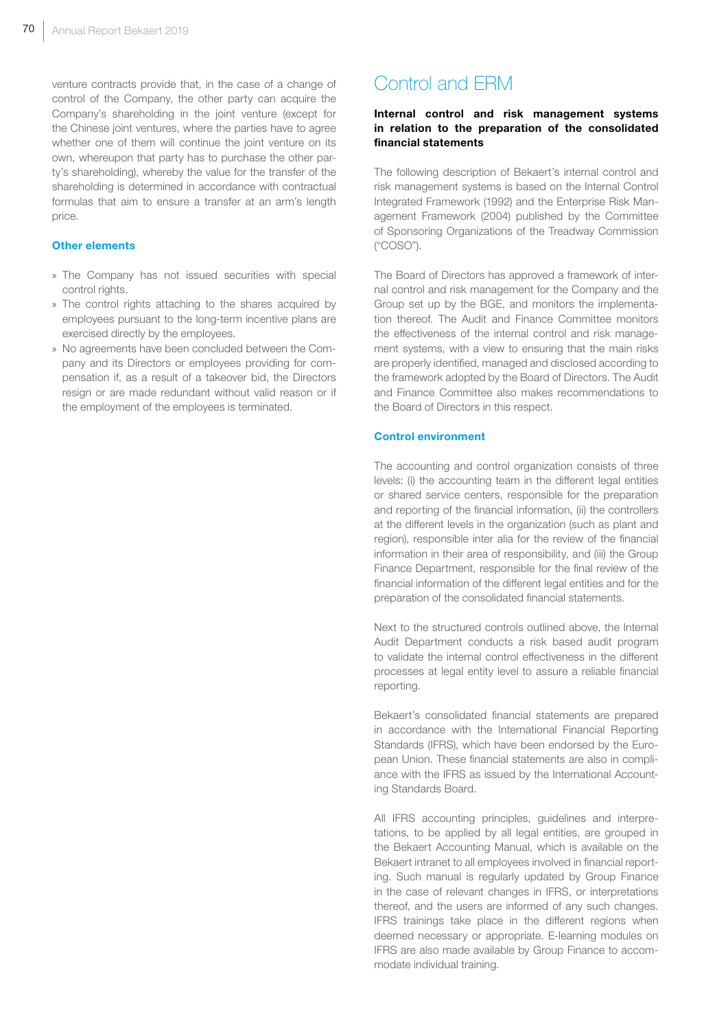venture contracts provide that, in the case of a change of control of the Company, the other party can acquire the Company's shareholding in the joint venture (except for the Chinese joint ventures, where the parties have to agree whether one of them will continue the joint venture on its own, whereupon that party has to purchase the other party's shareholding), whereby the value for the transfer of the shareholding is determined in accordance with contractual formulas that aim to ensure a transfer at an arm's length price.

#### Other elements

- » The Company has not issued securities with special control rights.
- » The control rights attaching to the shares acquired by employees pursuant to the long-term incentive plans are exercised directly by the employees.
- » No agreements have been concluded between the Company and its Directors or employees providing for compensation if, as a result of a takeover bid, the Directors resign or are made redundant without valid reason or if the employment of the employees is terminated.

# Control and ERM

### Internal control and risk management systems in relation to the preparation of the consolidated financial statements

The following description of Bekaert's internal control and risk management systems is based on the Internal Control Integrated Framework (1992) and the Enterprise Risk Management Framework (2004) published by the Committee of Sponsoring Organizations of the Treadway Commission ("COSO").

The Board of Directors has approved a framework of internal control and risk management for the Company and the Group set up by the BGE, and monitors the implementation thereof. The Audit and Finance Committee monitors the effectiveness of the internal control and risk management systems, with a view to ensuring that the main risks are properly identified, managed and disclosed according to the framework adopted by the Board of Directors. The Audit and Finance Committee also makes recommendations to the Board of Directors in this respect.

#### Control environment

The accounting and control organization consists of three levels: (i) the accounting team in the different legal entities or shared service centers, responsible for the preparation and reporting of the financial information, (ii) the controllers at the different levels in the organization (such as plant and region), responsible inter alia for the review of the financial information in their area of responsibility, and (iii) the Group Finance Department, responsible for the final review of the financial information of the different legal entities and for the preparation of the consolidated financial statements.

Next to the structured controls outlined above, the Internal Audit Department conducts a risk based audit program to validate the internal control effectiveness in the different processes at legal entity level to assure a reliable financial reporting.

Bekaert's consolidated financial statements are prepared in accordance with the International Financial Reporting Standards (IFRS), which have been endorsed by the European Union. These financial statements are also in compliance with the IFRS as issued by the International Accounting Standards Board.

All IFRS accounting principles, guidelines and interpretations, to be applied by all legal entities, are grouped in the Bekaert Accounting Manual, which is available on the Bekaert intranet to all employees involved in financial reporting. Such manual is regularly updated by Group Finance in the case of relevant changes in IFRS, or interpretations thereof, and the users are informed of any such changes. IFRS trainings take place in the different regions when deemed necessary or appropriate. E-learning modules on IFRS are also made available by Group Finance to accommodate individual training.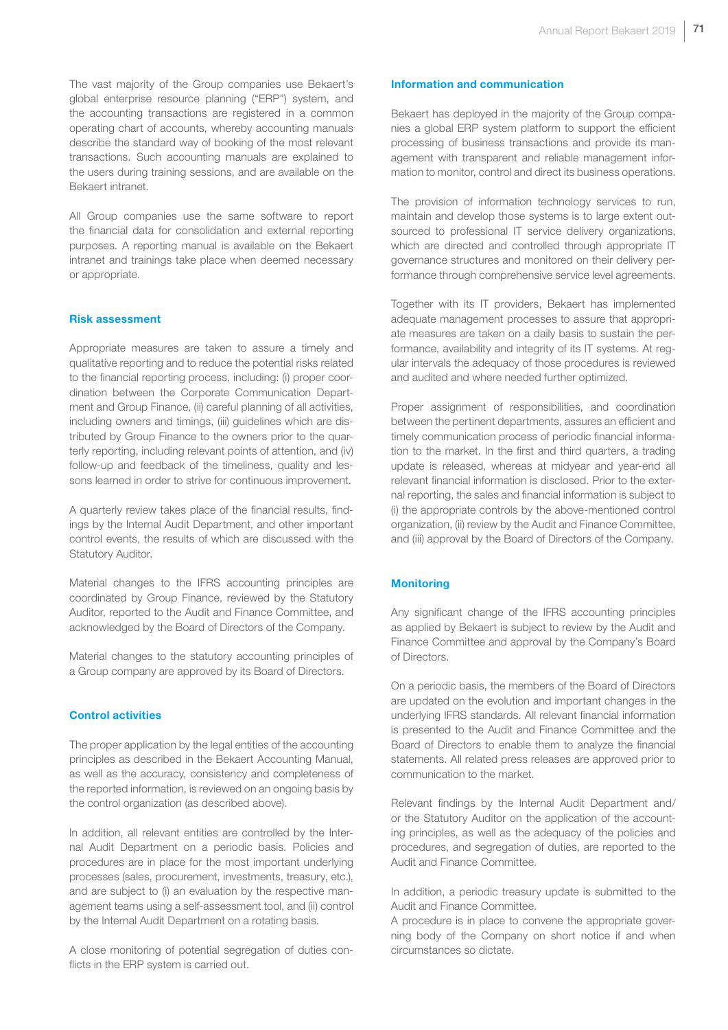The vast majority of the Group companies use Bekaert's global enterprise resource planning ("ERP") system, and the accounting transactions are registered in a common operating chart of accounts, whereby accounting manuals describe the standard way of booking of the most relevant transactions. Such accounting manuals are explained to the users during training sessions, and are available on the Bekaert intranet.

All Group companies use the same software to report the financial data for consolidation and external reporting purposes. A reporting manual is available on the Bekaert intranet and trainings take place when deemed necessary or appropriate.

#### Risk assessment

Appropriate measures are taken to assure a timely and qualitative reporting and to reduce the potential risks related to the financial reporting process, including: (i) proper coordination between the Corporate Communication Department and Group Finance, (ii) careful planning of all activities, including owners and timings, (iii) guidelines which are distributed by Group Finance to the owners prior to the quarterly reporting, including relevant points of attention, and (iv) follow-up and feedback of the timeliness, quality and lessons learned in order to strive for continuous improvement.

A quarterly review takes place of the financial results, findings by the Internal Audit Department, and other important control events, the results of which are discussed with the Statutory Auditor.

Material changes to the IFRS accounting principles are coordinated by Group Finance, reviewed by the Statutory Auditor, reported to the Audit and Finance Committee, and acknowledged by the Board of Directors of the Company.

Material changes to the statutory accounting principles of a Group company are approved by its Board of Directors.

#### Control activities

The proper application by the legal entities of the accounting principles as described in the Bekaert Accounting Manual, as well as the accuracy, consistency and completeness of the reported information, is reviewed on an ongoing basis by the control organization (as described above).

In addition, all relevant entities are controlled by the Internal Audit Department on a periodic basis. Policies and procedures are in place for the most important underlying processes (sales, procurement, investments, treasury, etc.), and are subject to (i) an evaluation by the respective management teams using a self-assessment tool, and (ii) control by the Internal Audit Department on a rotating basis.

A close monitoring of potential segregation of duties conflicts in the ERP system is carried out.

#### Information and communication

Bekaert has deployed in the majority of the Group companies a global ERP system platform to support the efficient processing of business transactions and provide its management with transparent and reliable management information to monitor, control and direct its business operations.

The provision of information technology services to run, maintain and develop those systems is to large extent outsourced to professional IT service delivery organizations, which are directed and controlled through appropriate IT governance structures and monitored on their delivery performance through comprehensive service level agreements.

Together with its IT providers, Bekaert has implemented adequate management processes to assure that appropriate measures are taken on a daily basis to sustain the performance, availability and integrity of its IT systems. At regular intervals the adequacy of those procedures is reviewed and audited and where needed further optimized.

Proper assignment of responsibilities, and coordination between the pertinent departments, assures an efficient and timely communication process of periodic financial information to the market. In the first and third quarters, a trading update is released, whereas at midyear and year-end all relevant financial information is disclosed. Prior to the external reporting, the sales and financial information is subject to (i) the appropriate controls by the above-mentioned control organization, (ii) review by the Audit and Finance Committee, and (iii) approval by the Board of Directors of the Company.

#### **Monitoring**

Any significant change of the IFRS accounting principles as applied by Bekaert is subject to review by the Audit and Finance Committee and approval by the Company's Board of Directors.

On a periodic basis, the members of the Board of Directors are updated on the evolution and important changes in the underlying IFRS standards. All relevant financial information is presented to the Audit and Finance Committee and the Board of Directors to enable them to analyze the financial statements. All related press releases are approved prior to communication to the market.

Relevant findings by the Internal Audit Department and/ or the Statutory Auditor on the application of the accounting principles, as well as the adequacy of the policies and procedures, and segregation of duties, are reported to the Audit and Finance Committee.

In addition, a periodic treasury update is submitted to the Audit and Finance Committee.

A procedure is in place to convene the appropriate governing body of the Company on short notice if and when circumstances so dictate.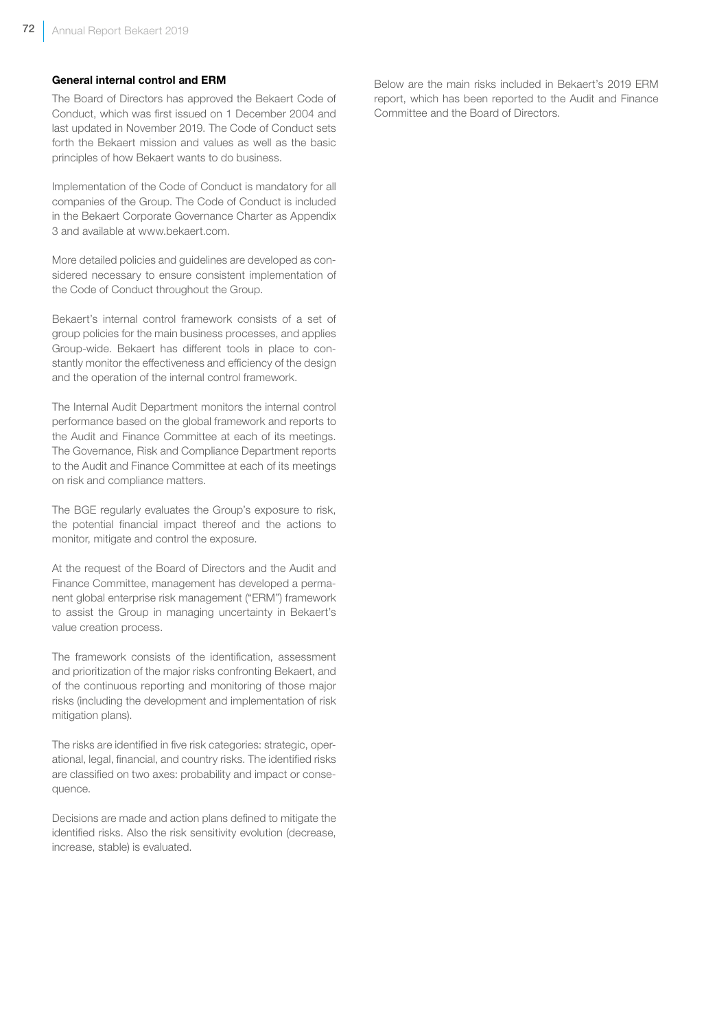#### General internal control and ERM

The Board of Directors has approved the Bekaert Code of Conduct, which was first issued on 1 December 2004 and last updated in November 2019. The Code of Conduct sets forth the Bekaert mission and values as well as the basic principles of how Bekaert wants to do business.

Implementation of the Code of Conduct is mandatory for all companies of the Group. The Code of Conduct is included in the Bekaert Corporate Governance Charter as Appendix 3 and available at www.bekaert.com.

More detailed policies and guidelines are developed as considered necessary to ensure consistent implementation of the Code of Conduct throughout the Group.

Bekaert's internal control framework consists of a set of group policies for the main business processes, and applies Group-wide. Bekaert has different tools in place to constantly monitor the effectiveness and efficiency of the design and the operation of the internal control framework.

The Internal Audit Department monitors the internal control performance based on the global framework and reports to the Audit and Finance Committee at each of its meetings. The Governance, Risk and Compliance Department reports to the Audit and Finance Committee at each of its meetings on risk and compliance matters.

The BGE regularly evaluates the Group's exposure to risk, the potential financial impact thereof and the actions to monitor, mitigate and control the exposure.

At the request of the Board of Directors and the Audit and Finance Committee, management has developed a permanent global enterprise risk management ("ERM") framework to assist the Group in managing uncertainty in Bekaert's value creation process.

The framework consists of the identification, assessment and prioritization of the major risks confronting Bekaert, and of the continuous reporting and monitoring of those major risks (including the development and implementation of risk mitigation plans).

The risks are identified in five risk categories: strategic, operational, legal, financial, and country risks. The identified risks are classified on two axes: probability and impact or consequence.

Decisions are made and action plans defined to mitigate the identified risks. Also the risk sensitivity evolution (decrease, increase, stable) is evaluated.

Below are the main risks included in Bekaert's 2019 ERM report, which has been reported to the Audit and Finance Committee and the Board of Directors.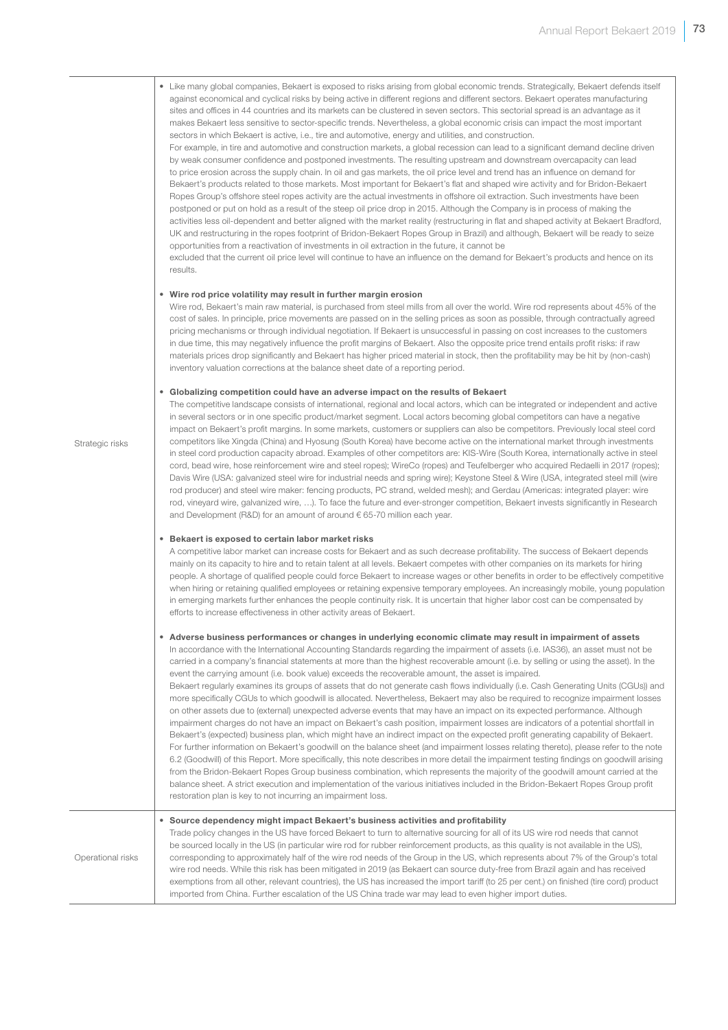• Like many global companies, Bekaert is exposed to risks arising from global economic trends. Strategically, Bekaert defends itself against economical and cyclical risks by being active in different regions and different sectors. Bekaert operates manufacturing sites and offices in 44 countries and its markets can be clustered in seven sectors. This sectorial spread is an advantage as it makes Bekaert less sensitive to sector-specific trends. Nevertheless, a global economic crisis can impact the most important sectors in which Bekaert is active, i.e., tire and automotive, energy and utilities, and construction.

For example, in tire and automotive and construction markets, a global recession can lead to a significant demand decline driven by weak consumer confidence and postponed investments. The resulting upstream and downstream overcapacity can lead to price erosion across the supply chain. In oil and gas markets, the oil price level and trend has an influence on demand for Bekaert's products related to those markets. Most important for Bekaert's flat and shaped wire activity and for Bridon-Bekaert Ropes Group's offshore steel ropes activity are the actual investments in offshore oil extraction. Such investments have been postponed or put on hold as a result of the steep oil price drop in 2015. Although the Company is in process of making the activities less oil-dependent and better aligned with the market reality (restructuring in flat and shaped activity at Bekaert Bradford, UK and restructuring in the ropes footprint of Bridon-Bekaert Ropes Group in Brazil) and although, Bekaert will be ready to seize opportunities from a reactivation of investments in oil extraction in the future, it cannot be

excluded that the current oil price level will continue to have an influence on the demand for Bekaert's products and hence on its results.

#### • Wire rod price volatility may result in further margin erosion

Wire rod, Bekaert's main raw material, is purchased from steel mills from all over the world. Wire rod represents about 45% of the cost of sales. In principle, price movements are passed on in the selling prices as soon as possible, through contractually agreed pricing mechanisms or through individual negotiation. If Bekaert is unsuccessful in passing on cost increases to the customers in due time, this may negatively influence the profit margins of Bekaert. Also the opposite price trend entails profit risks: if raw materials prices drop significantly and Bekaert has higher priced material in stock, then the profitability may be hit by (non-cash) inventory valuation corrections at the balance sheet date of a reporting period.

#### • Globalizing competition could have an adverse impact on the results of Bekaert

The competitive landscape consists of international, regional and local actors, which can be integrated or independent and active in several sectors or in one specific product/market segment. Local actors becoming global competitors can have a negative impact on Bekaert's profit margins. In some markets, customers or suppliers can also be competitors. Previously local steel cord competitors like Xingda (China) and Hyosung (South Korea) have become active on the international market through investments in steel cord production capacity abroad. Examples of other competitors are: KIS-Wire (South Korea, internationally active in steel cord, bead wire, hose reinforcement wire and steel ropes); WireCo (ropes) and Teufelberger who acquired Redaelli in 2017 (ropes); Davis Wire (USA: galvanized steel wire for industrial needs and spring wire); Keystone Steel & Wire (USA, integrated steel mill (wire rod producer) and steel wire maker: fencing products, PC strand, welded mesh); and Gerdau (Americas: integrated player: wire rod, vineyard wire, galvanized wire, …). To face the future and ever-stronger competition, Bekaert invests significantly in Research and Development (R&D) for an amount of around € 65-70 million each year.

#### • Bekaert is exposed to certain labor market risks

A competitive labor market can increase costs for Bekaert and as such decrease profitability. The success of Bekaert depends mainly on its capacity to hire and to retain talent at all levels. Bekaert competes with other companies on its markets for hiring people. A shortage of qualified people could force Bekaert to increase wages or other benefits in order to be effectively competitive when hiring or retaining qualified employees or retaining expensive temporary employees. An increasingly mobile, young population in emerging markets further enhances the people continuity risk. It is uncertain that higher labor cost can be compensated by efforts to increase effectiveness in other activity areas of Bekaert.

#### • Adverse business performances or changes in underlying economic climate may result in impairment of assets

In accordance with the International Accounting Standards regarding the impairment of assets (i.e. IAS36), an asset must not be carried in a company's financial statements at more than the highest recoverable amount (i.e. by selling or using the asset). In the event the carrying amount (i.e. book value) exceeds the recoverable amount, the asset is impaired.

Bekaert regularly examines its groups of assets that do not generate cash flows individually (i.e. Cash Generating Units (CGUs)) and more specifically CGUs to which goodwill is allocated. Nevertheless, Bekaert may also be required to recognize impairment losses on other assets due to (external) unexpected adverse events that may have an impact on its expected performance. Although impairment charges do not have an impact on Bekaert's cash position, impairment losses are indicators of a potential shortfall in Bekaert's (expected) business plan, which might have an indirect impact on the expected profit generating capability of Bekaert. For further information on Bekaert's goodwill on the balance sheet (and impairment losses relating thereto), please refer to the note 6.2 (Goodwill) of this Report. More specifically, this note describes in more detail the impairment testing findings on goodwill arising from the Bridon-Bekaert Ropes Group business combination, which represents the majority of the goodwill amount carried at the balance sheet. A strict execution and implementation of the various initiatives included in the Bridon-Bekaert Ropes Group profit restoration plan is key to not incurring an impairment loss.

Operational risks

Strategic risks

Trade policy changes in the US have forced Bekaert to turn to alternative sourcing for all of its US wire rod needs that cannot be sourced locally in the US (in particular wire rod for rubber reinforcement products, as this quality is not available in the US), corresponding to approximately half of the wire rod needs of the Group in the US, which represents about 7% of the Group's total wire rod needs. While this risk has been mitigated in 2019 (as Bekaert can source duty-free from Brazil again and has received exemptions from all other, relevant countries), the US has increased the import tariff (to 25 per cent.) on finished (tire cord) product imported from China. Further escalation of the US China trade war may lead to even higher import duties.

• Source dependency might impact Bekaert's business activities and profitability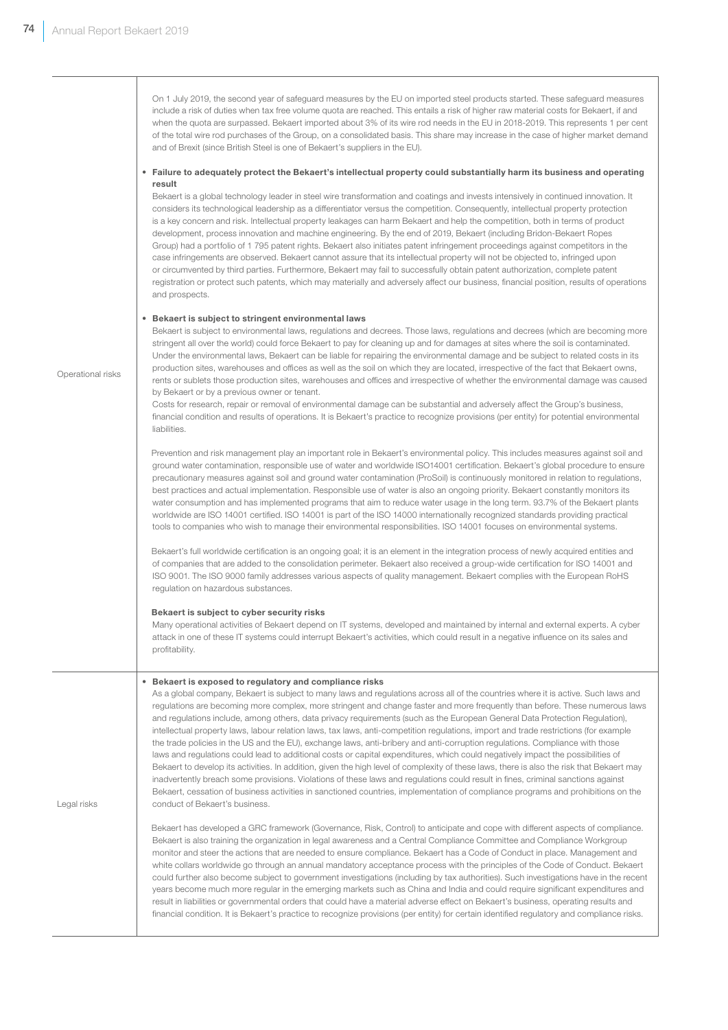On 1 July 2019, the second year of safeguard measures by the EU on imported steel products started. These safeguard measures include a risk of duties when tax free volume quota are reached. This entails a risk of higher raw material costs for Bekaert, if and when the quota are surpassed. Bekaert imported about 3% of its wire rod needs in the EU in 2018-2019. This represents 1 per cent of the total wire rod purchases of the Group, on a consolidated basis. This share may increase in the case of higher market demand and of Brexit (since British Steel is one of Bekaert's suppliers in the EU).

#### • Failure to adequately protect the Bekaert's intellectual property could substantially harm its business and operating result

Bekaert is a global technology leader in steel wire transformation and coatings and invests intensively in continued innovation. It considers its technological leadership as a differentiator versus the competition. Consequently, intellectual property protection is a key concern and risk. Intellectual property leakages can harm Bekaert and help the competition, both in terms of product development, process innovation and machine engineering. By the end of 2019, Bekaert (including Bridon-Bekaert Ropes Group) had a portfolio of 1 795 patent rights. Bekaert also initiates patent infringement proceedings against competitors in the case infringements are observed. Bekaert cannot assure that its intellectual property will not be objected to, infringed upon or circumvented by third parties. Furthermore, Bekaert may fail to successfully obtain patent authorization, complete patent registration or protect such patents, which may materially and adversely affect our business, financial position, results of operations and prospects.

#### • Bekaert is subject to stringent environmental laws

Bekaert is subject to environmental laws, regulations and decrees. Those laws, regulations and decrees (which are becoming more stringent all over the world) could force Bekaert to pay for cleaning up and for damages at sites where the soil is contaminated. Under the environmental laws, Bekaert can be liable for repairing the environmental damage and be subject to related costs in its production sites, warehouses and offices as well as the soil on which they are located, irrespective of the fact that Bekaert owns, rents or sublets those production sites, warehouses and offices and irrespective of whether the environmental damage was caused by Bekaert or by a previous owner or tenant.

Costs for research, repair or removal of environmental damage can be substantial and adversely affect the Group's business, financial condition and results of operations. It is Bekaert's practice to recognize provisions (per entity) for potential environmental liabilities.

 Prevention and risk management play an important role in Bekaert's environmental policy. This includes measures against soil and ground water contamination, responsible use of water and worldwide ISO14001 certification. Bekaert's global procedure to ensure precautionary measures against soil and ground water contamination (ProSoil) is continuously monitored in relation to regulations, best practices and actual implementation. Responsible use of water is also an ongoing priority. Bekaert constantly monitors its water consumption and has implemented programs that aim to reduce water usage in the long term. 93.7% of the Bekaert plants worldwide are ISO 14001 certified. ISO 14001 is part of the ISO 14000 internationally recognized standards providing practical tools to companies who wish to manage their environmental responsibilities. ISO 14001 focuses on environmental systems.

 Bekaert's full worldwide certification is an ongoing goal; it is an element in the integration process of newly acquired entities and of companies that are added to the consolidation perimeter. Bekaert also received a group-wide certification for ISO 14001 and ISO 9001. The ISO 9000 family addresses various aspects of quality management. Bekaert complies with the European RoHS regulation on hazardous substances.

#### Bekaert is subject to cyber security risks

Many operational activities of Bekaert depend on IT systems, developed and maintained by internal and external experts. A cyber attack in one of these IT systems could interrupt Bekaert's activities, which could result in a negative influence on its sales and profitability.

#### • Bekaert is exposed to regulatory and compliance risks

As a global company, Bekaert is subject to many laws and regulations across all of the countries where it is active. Such laws and regulations are becoming more complex, more stringent and change faster and more frequently than before. These numerous laws and regulations include, among others, data privacy requirements (such as the European General Data Protection Regulation), intellectual property laws, labour relation laws, tax laws, anti-competition regulations, import and trade restrictions (for example the trade policies in the US and the EU), exchange laws, anti-bribery and anti-corruption regulations. Compliance with those laws and regulations could lead to additional costs or capital expenditures, which could negatively impact the possibilities of Bekaert to develop its activities. In addition, given the high level of complexity of these laws, there is also the risk that Bekaert may inadvertently breach some provisions. Violations of these laws and regulations could result in fines, criminal sanctions against Bekaert, cessation of business activities in sanctioned countries, implementation of compliance programs and prohibitions on the conduct of Bekaert's business.

 Bekaert has developed a GRC framework (Governance, Risk, Control) to anticipate and cope with different aspects of compliance. Bekaert is also training the organization in legal awareness and a Central Compliance Committee and Compliance Workgroup monitor and steer the actions that are needed to ensure compliance. Bekaert has a Code of Conduct in place. Management and white collars worldwide go through an annual mandatory acceptance process with the principles of the Code of Conduct. Bekaert could further also become subject to government investigations (including by tax authorities). Such investigations have in the recent years become much more regular in the emerging markets such as China and India and could require significant expenditures and result in liabilities or governmental orders that could have a material adverse effect on Bekaert's business, operating results and financial condition. It is Bekaert's practice to recognize provisions (per entity) for certain identified regulatory and compliance risks.

Operational risks

Legal risks